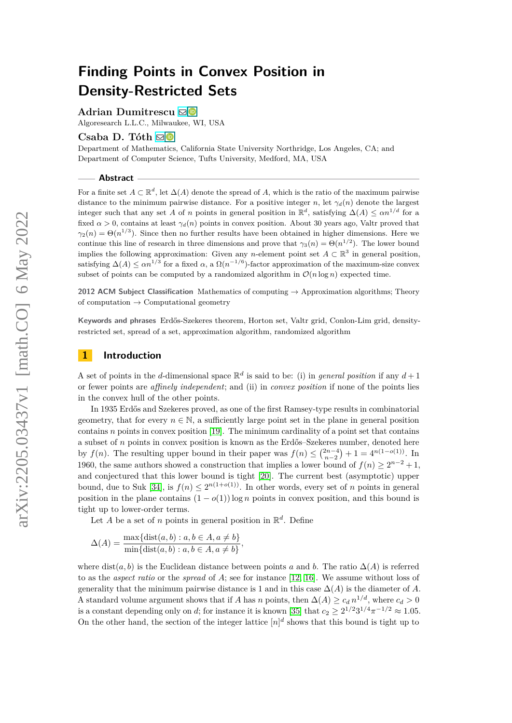**Adrian Dumitrescu** ⊠<sup>■</sup>

Algoresearch L.L.C., Milwaukee, WI, USA

### **Csaba D. Tóth** [!](mailto:csaba.toth@csun.edu)

Department of Mathematics, California State University Northridge, Los Angeles, CA; and Department of Computer Science, Tufts University, Medford, MA, USA

#### **Abstract**

For a finite set  $A \subset \mathbb{R}^d$ , let  $\Delta(A)$  denote the spread of *A*, which is the ratio of the maximum pairwise distance to the minimum pairwise distance. For a positive integer *n*, let  $\gamma_d(n)$  denote the largest integer such that any set *A* of *n* points in general position in  $\mathbb{R}^d$ , satisfying  $\Delta(A) \leq \alpha n^{1/d}$  for a fixed  $\alpha > 0$ , contains at least  $\gamma_d(n)$  points in convex position. About 30 years ago, Valtr proved that  $\gamma_2(n) = \Theta(n^{1/3})$ . Since then no further results have been obtained in higher dimensions. Here we continue this line of research in three dimensions and prove that  $\gamma_3(n) = \Theta(n^{1/2})$ . The lower bound implies the following approximation: Given any *n*-element point set  $A \subset \mathbb{R}^3$  in general position, satisfying  $\Delta(A) \le \alpha n^{1/3}$  for a fixed  $\alpha$ , a  $\Omega(n^{-1/6})$ -factor approximation of the maximum-size convex subset of points can be computed by a randomized algorithm in  $\mathcal{O}(n \log n)$  expected time.

**2012 ACM Subject Classification** Mathematics of computing → Approximation algorithms; Theory of computation  $\rightarrow$  Computational geometry

**Keywords and phrases** Erdős-Szekeres theorem, Horton set, Valtr grid, Conlon-Lim grid, densityrestricted set, spread of a set, approximation algorithm, randomized algorithm

# <span id="page-0-0"></span>**1 Introduction**

A set of points in the *d*-dimensional space  $\mathbb{R}^d$  is said to be: (i) in *general position* if any  $d+1$ or fewer points are *affinely independent*; and (ii) in *convex position* if none of the points lies in the convex hull of the other points.

In 1935 Erdős and Szekeres proved, as one of the first Ramsey-type results in combinatorial geometry, that for every  $n \in \mathbb{N}$ , a sufficiently large point set in the plane in general position contains *n* points in convex position [\[19\]](#page-17-0). The minimum cardinality of a point set that contains a subset of *n* points in convex position is known as the Erdős–Szekeres number, denoted here by  $f(n)$ . The resulting upper bound in their paper was  $f(n) \leq {2n-4 \choose n-2} + 1 = 4^{n(1-o(1))}$ . In 1960, the same authors showed a construction that implies a lower bound of  $f(n) \geq 2^{n-2} + 1$ , and conjectured that this lower bound is tight [\[20\]](#page-18-0). The current best (asymptotic) upper bound, due to Suk [\[34\]](#page-18-1), is  $f(n) \leq 2^{n(1+o(1))}$ . In other words, every set of *n* points in general position in the plane contains  $(1 - o(1)) \log n$  points in convex position, and this bound is tight up to lower-order terms.

Let *A* be a set of *n* points in general position in  $\mathbb{R}^d$ . Define

$$
\Delta(A) = \frac{\max\{\text{dist}(a, b) : a, b \in A, a \neq b\}}{\min\{\text{dist}(a, b) : a, b \in A, a \neq b\}},
$$

where dist(*a, b*) is the Euclidean distance between points *a* and *b*. The ratio  $\Delta(A)$  is referred to as the *aspect ratio* or the *spread* of *A*; see for instance [\[12,](#page-17-1) [16\]](#page-17-2). We assume without loss of generality that the minimum pairwise distance is 1 and in this case  $\Delta(A)$  is the diameter of A. A standard volume argument shows that if *A* has *n* points, then  $\Delta(A) \geq c_d n^{1/d}$ , where  $c_d > 0$ is a constant depending only on *d*; for instance it is known [\[35\]](#page-18-2) that  $c_2 \geq 2^{1/2}3^{1/4}\pi^{-1/2} \approx 1.05$ . On the other hand, the section of the integer lattice  $[n]^d$  shows that this bound is tight up to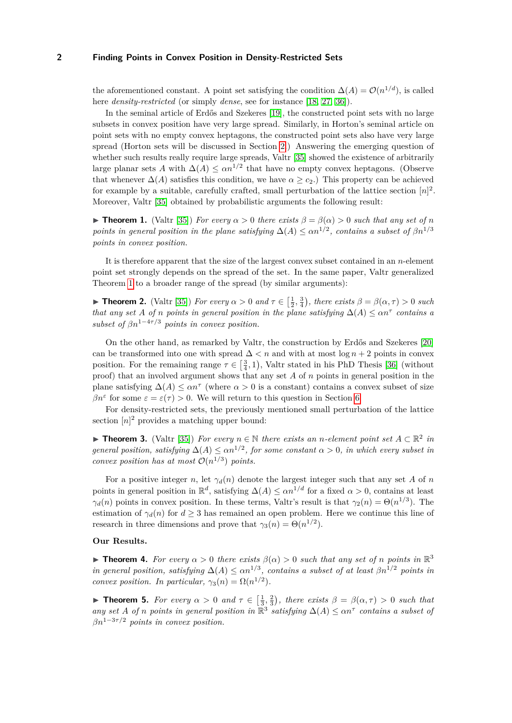the aforementioned constant. A point set satisfying the condition  $\Delta(A) = \mathcal{O}(n^{1/d})$ , is called here *density-restricted* (or simply *dense*, see for instance [\[18,](#page-17-3) [27,](#page-18-3) [36\]](#page-18-4)).

In the seminal article of Erdős and Szekeres [\[19\]](#page-17-0), the constructed point sets with no large subsets in convex position have very large spread. Similarly, in Horton's seminal article on point sets with no empty convex heptagons, the constructed point sets also have very large spread (Horton sets will be discussed in Section [2.](#page-3-0)) Answering the emerging question of whether such results really require large spreads, Valtr [\[35\]](#page-18-2) showed the existence of arbitrarily large planar sets *A* with  $\Delta(A) \leq \alpha n^{1/2}$  that have no empty convex heptagons. (Observe that whenever  $\Delta(A)$  satisfies this condition, we have  $\alpha \geq c_2$ .) This property can be achieved for example by a suitable, carefully crafted, small perturbation of the lattice section  $[n]^2$ . Moreover, Valtr [\[35\]](#page-18-2) obtained by probabilistic arguments the following result:

<span id="page-1-0"></span>**Find 1.** (Valtr [\[35\]](#page-18-2)) *For every*  $\alpha > 0$  *there exists*  $\beta = \beta(\alpha) > 0$  *such that any set of n points in general position in the plane satisfying*  $\Delta(A) \leq \alpha n^{1/2}$ , contains a subset of  $\beta n^{1/3}$ *points in convex position.*

It is therefore apparent that the size of the largest convex subset contained in an *n*-element point set strongly depends on the spread of the set. In the same paper, Valtr generalized Theorem [1](#page-1-0) to a broader range of the spread (by similar arguments):

**Fineorem 2.** (Valtr [\[35\]](#page-18-2)) For every  $\alpha > 0$  and  $\tau \in \left[\frac{1}{2}, \frac{3}{4}\right)$ , there exists  $\beta = \beta(\alpha, \tau) > 0$  such *that any set A of n points in general position in the plane satisfying*  $\Delta(A) \leq \alpha n^{\tau}$  *contains a subset of*  $\beta n^{1-4\tau/3}$  *points in convex position.* 

On the other hand, as remarked by Valtr, the construction by Erdős and Szekeres [\[20\]](#page-18-0) can be transformed into one with spread  $\Delta < n$  and with at most  $\log n + 2$  points in convex position. For the remaining range  $\tau \in \left[\frac{3}{4}, 1\right)$ , Valtr stated in his PhD Thesis [\[36\]](#page-18-4) (without proof) that an involved argument shows that any set *A* of *n* points in general position in the plane satisfying  $\Delta(A) \leq \alpha n^{\tau}$  (where  $\alpha > 0$  is a constant) contains a convex subset of size *βn<sup>ε</sup>* for some  $\varepsilon = \varepsilon(\tau) > 0$ . We will return to this question in Section [6.](#page-16-0)

For density-restricted sets, the previously mentioned small perturbation of the lattice section  $[n]^2$  provides a matching upper bound:

<span id="page-1-1"></span>▶ **Theorem 3.** (Valtr [\[35\]](#page-18-2)) For every  $n \in \mathbb{N}$  there exists an *n*-element point set  $A \subset \mathbb{R}^2$  in *general position, satisfying*  $\Delta(A) \leq \alpha n^{1/2}$ , for some constant  $\alpha > 0$ , in which every subset in *convex position has at most*  $\mathcal{O}(n^{1/3})$  *points.* 

For a positive integer *n*, let  $\gamma_d(n)$  denote the largest integer such that any set *A* of *n* points in general position in  $\mathbb{R}^d$ , satisfying  $\Delta(A) \leq \alpha n^{1/d}$  for a fixed  $\alpha > 0$ , contains at least *γ*<sub>*d*</sub>(*n*) points in convex position. In these terms, Valtr's result is that  $\gamma_2(n) = \Theta(n^{1/3})$ . The estimation of  $\gamma_d(n)$  for  $d \geq 3$  has remained an open problem. Here we continue this line of research in three dimensions and prove that  $\gamma_3(n) = \Theta(n^{1/2})$ .

## **Our Results.**

<span id="page-1-2"></span>**Find 1.** For every  $\alpha > 0$  there exists  $\beta(\alpha) > 0$  such that any set of *n* points in  $\mathbb{R}^3$ *in general position, satisfying*  $\Delta(A) \leq \alpha n^{1/3}$ , contains a subset of at least  $\beta n^{1/2}$  points in *convex position. In particular,*  $\gamma_3(n) = \Omega(n^{1/2})$ *.* 

<span id="page-1-3"></span>**Fineorem 5.** *For every*  $\alpha > 0$  *and*  $\tau \in \left[\frac{1}{3}, \frac{2}{3}\right)$ , *there exists*  $\beta = \beta(\alpha, \tau) > 0$  *such that* any set *A* of *n* points in general position in  $\mathbb{R}^3$  satisfying  $\Delta(A) \leq \alpha n^{\tau}$  contains a subset of *βn*<sup>1</sup>−3*τ/*<sup>2</sup> *points in convex position.*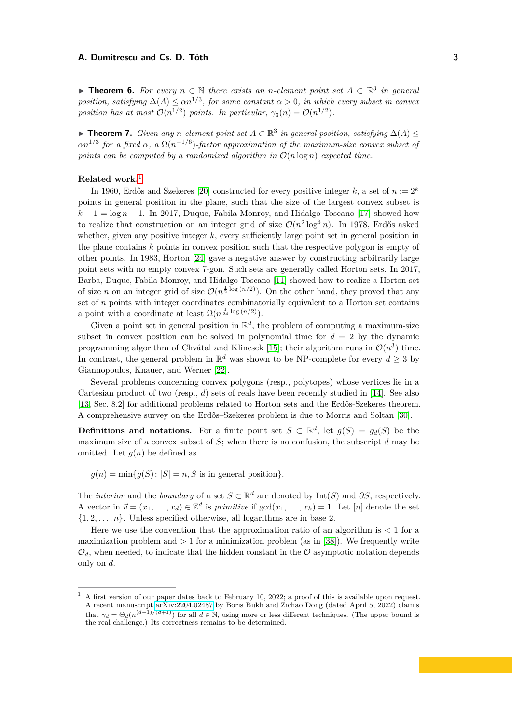<span id="page-2-1"></span>**► Theorem 6.** For every  $n \in \mathbb{N}$  there exists an *n*-element point set  $A \subset \mathbb{R}^3$  in general *position, satisfying*  $\Delta(A) \leq \alpha n^{1/3}$ , for some constant  $\alpha > 0$ , in which every subset in convex *position has at most*  $\mathcal{O}(n^{1/2})$  *points. In particular,*  $\gamma_3(n) = \mathcal{O}(n^{1/2})$ *.* 

<span id="page-2-2"></span>**► Theorem 7.** *Given any n-element point set*  $A \subset \mathbb{R}^3$  *in general position, satisfying*  $\Delta(A)$   $\leq$  $\alpha n^{1/3}$  for a fixed  $\alpha$ , a  $\Omega(n^{-1/6})$ -factor approximation of the maximum-size convex subset of *points can be computed by a randomized algorithm in*  $\mathcal{O}(n \log n)$  *expected time.* 

## **Related work.**[1](#page-2-0)

In 1960, Erdős and Szekeres [\[20\]](#page-18-0) constructed for every positive integer k, a set of  $n := 2^k$ points in general position in the plane, such that the size of the largest convex subset is  $k-1 = \log n - 1$ . In 2017, Duque, Fabila-Monroy, and Hidalgo-Toscano [\[17\]](#page-17-4) showed how to realize that construction on an integer grid of size  $\mathcal{O}(n^2 \log^3 n)$ . In 1978, Erdős asked whether, given any positive integer k, every sufficiently large point set in general position in the plane contains *k* points in convex position such that the respective polygon is empty of other points. In 1983, Horton [\[24\]](#page-18-5) gave a negative answer by constructing arbitrarily large point sets with no empty convex 7-gon. Such sets are generally called Horton sets. In 2017, Barba, Duque, Fabila-Monroy, and Hidalgo-Toscano [\[11\]](#page-17-5) showed how to realize a Horton set of size *n* on an integer grid of size  $\mathcal{O}(n^{\frac{1}{2}\log(n/2)})$ . On the other hand, they proved that any set of *n* points with integer coordinates combinatorially equivalent to a Horton set contains a point with a coordinate at least  $\Omega(n^{\frac{1}{24} \log(n/2)})$ .

Given a point set in general position in  $\mathbb{R}^d$ , the problem of computing a maximum-size subset in convex position can be solved in polynomial time for  $d = 2$  by the dynamic programming algorithm of Chvátal and Klincsek [\[15\]](#page-17-6); their algorithm runs in  $\mathcal{O}(n^3)$  time. In contrast, the general problem in  $\mathbb{R}^d$  was shown to be NP-complete for every  $d \geq 3$  by Giannopoulos, Knauer, and Werner [\[22\]](#page-18-6).

Several problems concerning convex polygons (resp., polytopes) whose vertices lie in a Cartesian product of two (resp., *d*) sets of reals have been recently studied in [\[14\]](#page-17-7). See also [\[13,](#page-17-8) Sec. 8.2] for additional problems related to Horton sets and the Erdős-Szekeres theorem. A comprehensive survey on the Erdős–Szekeres problem is due to Morris and Soltan [\[30\]](#page-18-7).

**Definitions and notations.** For a finite point set  $S \subset \mathbb{R}^d$ , let  $g(S) = g_d(S)$  be the maximum size of a convex subset of *S*; when there is no confusion, the subscript *d* may be omitted. Let  $q(n)$  be defined as

 $g(n) = \min\{g(S): |S| = n, S \text{ is in general position}\}.$ 

The *interior* and the *boundary* of a set  $S \subset \mathbb{R}^d$  are denoted by Int(*S*) and  $\partial S$ , respectively. A vector in  $\vec{v} = (x_1, \ldots, x_d) \in \mathbb{Z}^d$  is *primitive* if  $gcd(x_1, \ldots, x_k) = 1$ . Let [*n*] denote the set  $\{1, 2, \ldots, n\}$ . Unless specified otherwise, all logarithms are in base 2.

Here we use the convention that the approximation ratio of an algorithm is *<* 1 for a maximization problem and  $> 1$  for a minimization problem (as in [\[38\]](#page-18-8)). We frequently write  $\mathcal{O}_d$ , when needed, to indicate that the hidden constant in the  $\mathcal O$  asymptotic notation depends only on *d*.

<span id="page-2-0"></span><sup>1</sup> A first version of our paper dates back to February 10, 2022; a proof of this is available upon request. A recent manuscript [arXiv:2204.02487](https://arxiv.org/abs/2204.02487) by Boris Bukh and Zichao Dong (dated April 5, 2022) claims that  $\gamma_d = \Theta_d(n^{(d-1)/(d+1)})$  for all  $d \in \mathbb{N}$ , using more or less different techniques. (The upper bound is the real challenge.) Its correctness remains to be determined.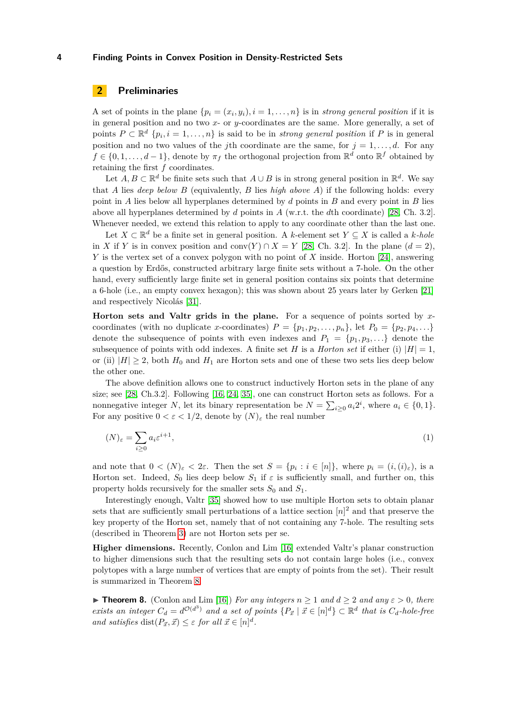# <span id="page-3-0"></span>**2 Preliminaries**

A set of points in the plane  $\{p_i = (x_i, y_i), i = 1, \ldots, n\}$  is in *strong general position* if it is in general position and no two *x*- or *y*-coordinates are the same. More generally, a set of points  $P \subset \mathbb{R}^d$   $\{p_i, i = 1, \ldots, n\}$  is said to be in *strong general position* if P is in general position and no two values of the *j*th coordinate are the same, for  $j = 1, \ldots, d$ . For any  $f \in \{0, 1, \ldots, d-1\}$ , denote by  $\pi_f$  the orthogonal projection from  $\mathbb{R}^d$  onto  $\mathbb{R}^f$  obtained by retaining the first *f* coordinates.

Let  $A, B \subset \mathbb{R}^d$  be finite sets such that  $A \cup B$  is in strong general position in  $\mathbb{R}^d$ . We say that *A* lies *deep below B* (equivalently, *B* lies *high above A*) if the following holds: every point in *A* lies below all hyperplanes determined by *d* points in *B* and every point in *B* lies above all hyperplanes determined by *d* points in *A* (w.r.t. the *d*th coordinate) [\[28,](#page-18-9) Ch. 3.2]. Whenever needed, we extend this relation to apply to any coordinate other than the last one.

Let  $X \subset \mathbb{R}^d$  be a finite set in general position. A *k*-element set  $Y \subseteq X$  is called a *k*-hole in *X* if *Y* is in convex position and conv $(Y) \cap X = Y$  [\[28,](#page-18-9) Ch. 3.2]. In the plane  $(d = 2)$ , *Y* is the vertex set of a convex polygon with no point of *X* inside. Horton [\[24\]](#page-18-5), answering a question by Erdős, constructed arbitrary large finite sets without a 7-hole. On the other hand, every sufficiently large finite set in general position contains six points that determine a 6-hole (i.e., an empty convex hexagon); this was shown about 25 years later by Gerken [\[21\]](#page-18-10) and respectively Nicolás [\[31\]](#page-18-11).

**Horton sets and Valtr grids in the plane.** For a sequence of points sorted by *x*coordinates (with no duplicate *x*-coordinates)  $P = \{p_1, p_2, \ldots, p_n\}$ , let  $P_0 = \{p_2, p_4, \ldots\}$ denote the subsequence of points with even indexes and  $P_1 = \{p_1, p_3, ...\}$  denote the subsequence of points with odd indexes. A finite set *H* is a *Horton set* if either (i)  $|H| = 1$ , or (ii)  $|H| \geq 2$ , both  $H_0$  and  $H_1$  are Horton sets and one of these two sets lies deep below the other one.

The above definition allows one to construct inductively Horton sets in the plane of any size; see [\[28,](#page-18-9) Ch.3.2]. Following [\[16,](#page-17-2) [24,](#page-18-5) [35\]](#page-18-2), one can construct Horton sets as follows. For a nonnegative integer *N*, let its binary representation be  $N = \sum_{i \geq 0} a_i 2^i$ , where  $a_i \in \{0, 1\}$ . For any positive  $0 < \varepsilon < 1/2$ , denote by  $(N)_{\varepsilon}$  the real number

$$
(N)_{\varepsilon} = \sum_{i \ge 0} a_i \varepsilon^{i+1},\tag{1}
$$

and note that  $0 < (N)_{\varepsilon} < 2\varepsilon$ . Then the set  $S = \{p_i : i \in [n]\}$ , where  $p_i = (i, (i)_{\varepsilon})$ , is a Horton set. Indeed,  $S_0$  lies deep below  $S_1$  if  $\varepsilon$  is sufficiently small, and further on, this property holds recursively for the smaller sets  $S_0$  and  $S_1$ .

Interestingly enough, Valtr [\[35\]](#page-18-2) showed how to use multiple Horton sets to obtain planar sets that are sufficiently small perturbations of a lattice section  $[n]^2$  and that preserve the key property of the Horton set, namely that of not containing any 7-hole. The resulting sets (described in Theorem [3\)](#page-1-1) are not Horton sets per se.

**Higher dimensions.** Recently, Conlon and Lim [\[16\]](#page-17-2) extended Valtr's planar construction to higher dimensions such that the resulting sets do not contain large holes (i.e., convex polytopes with a large number of vertices that are empty of points from the set). Their result is summarized in Theorem [8.](#page-3-1)

<span id="page-3-1"></span>**Findmannihi For any integers**  $n > 1$  and  $d > 2$  and any  $\varepsilon > 0$ , there *exists an integer*  $C_d = d^{\mathcal{O}(d^3)}$  *and a set of points*  $\{P_{\vec{x}} \mid \vec{x} \in [n]^d\} \subset \mathbb{R}^d$  *that is*  $C_d$ -*hole-free and satisfies* dist $(P_{\vec{x}}, \vec{x}) \leq \varepsilon$  *for all*  $\vec{x} \in [n]^d$ *.*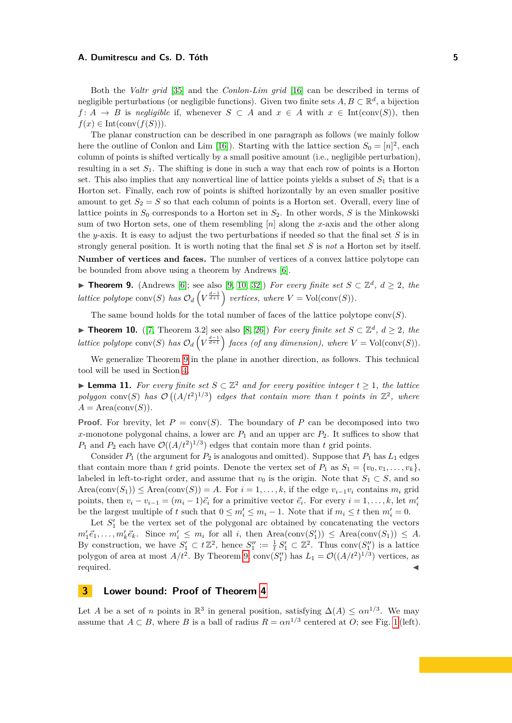Both the *Valtr grid* [\[35\]](#page-18-2) and the *Conlon-Lim grid* [\[16\]](#page-17-2) can be described in terms of negligible perturbations (or negligible functions). Given two finite sets  $A, B \subset \mathbb{R}^d$ , a bijection *f* : *A* → *B* is *negligible* if, whenever *S* ⊂ *A* and *x* ∈ *A* with *x* ∈ Int(conv(*S*)), then  $f(x) \in Int(\text{conv}(f(S))).$ 

The planar construction can be described in one paragraph as follows (we mainly follow here the outline of Conlon and Lim [\[16\]](#page-17-2)). Starting with the lattice section  $S_0 = [n]^2$ , each column of points is shifted vertically by a small positive amount (i.e., negligible perturbation), resulting in a set  $S_1$ . The shifting is done in such a way that each row of points is a Horton set. This also implies that any nonvertical line of lattice points yields a subset of *S*<sup>1</sup> that is a Horton set. Finally, each row of points is shifted horizontally by an even smaller positive amount to get  $S_2 = S$  so that each column of points is a Horton set. Overall, every line of lattice points in  $S_0$  corresponds to a Horton set in  $S_2$ . In other words,  $S$  is the Minkowski sum of two Horton sets, one of them resembling [*n*] along the *x*-axis and the other along the *y*-axis. It is easy to adjust the two perturbations if needed so that the final set *S* is in strongly general position. It is worth noting that the final set *S* is *not* a Horton set by itself. **Number of vertices and faces.** The number of vertices of a convex lattice polytope can be bounded from above using a theorem by Andrews [\[6\]](#page-17-9).

<span id="page-4-0"></span>**► Theorem 9.** (Andrews [\[6\]](#page-17-9); see also [\[9,](#page-17-10) [10,](#page-17-11) [32\]](#page-18-12)) *For every finite set*  $S \subset \mathbb{Z}^d$ ,  $d \geq 2$ , the *lattice polytope* conv $(S)$  *has*  $\mathcal{O}_d\left(V^{\frac{d-1}{d+1}}\right)$  *vertices, where*  $V = \text{Vol}(\text{conv}(S))$ *.* 

The same bound holds for the total number of faces of the lattice polytope  $\text{conv}(S)$ .

**► Theorem 10.** ([\[7,](#page-17-12) Theorem 3.2] see also [\[8,](#page-17-13) [26\]](#page-18-13)) *For every finite set*  $S \subset \mathbb{Z}^d$ ,  $d \geq 2$ , the *lattice polytope* conv(*S*) has  $\mathcal{O}_d\left(V^{\frac{d-1}{d+1}}\right)$  faces (of any dimension), where  $V = \text{Vol}(\text{conv}(S))$ .

We generalize Theorem [9](#page-4-0) in the plane in another direction, as follows. This technical tool will be used in Section [4.](#page-8-0)

<span id="page-4-1"></span>**► Lemma 11.** For every finite set  $S \subset \mathbb{Z}^2$  and for every positive integer  $t \geq 1$ , the lattice polygon conv(*S*) has  $\mathcal{O}((A/t^2)^{1/3})$  edges that contain more than *t* points in  $\mathbb{Z}^2$ , where  $A = \text{Area}(\text{conv}(S)).$ 

**Proof.** For brevity, let  $P = \text{conv}(S)$ . The boundary of P can be decomposed into two *x*-monotone polygonal chains, a lower arc  $P_1$  and an upper arc  $P_2$ . It suffices to show that  $P_1$  and  $P_2$  each have  $\mathcal{O}((A/t^2)^{1/3})$  edges that contain more than *t* grid points.

Consider  $P_1$  (the argument for  $P_2$  is analogous and omitted). Suppose that  $P_1$  has  $L_1$  edges that contain more than *t* grid points. Denote the vertex set of  $P_1$  as  $S_1 = \{v_0, v_1, \ldots, v_k\}$ . labeled in left-to-right order, and assume that  $v_0$  is the origin. Note that  $S_1 \subset S$ , and so  $Area(conv(S_1)) \leq Area(conv(S)) = A$ . For  $i = 1, ..., k$ , if the edge  $v_{i-1}v_i$  contains  $m_i$  grid points, then  $v_i - v_{i-1} = (m_i - 1)\vec{e}_i$  for a primitive vector  $\vec{e}_i$ . For every  $i = 1, \ldots, k$ , let  $m'_i$ be the largest multiple of *t* such that  $0 \le m'_i \le m_i - 1$ . Note that if  $m_i \le t$  then  $m'_i = 0$ .

Let  $S'_{1}$  be the vertex set of the polygonal arc obtained by concatenating the vectors  $m'_1 \vec{e}_1, \ldots, m'_k \vec{e}_k$ . Since  $m'_i \leq m_i$  for all *i*, then Area(conv(*S*<sup>1</sup>))  $\leq$  Area(conv(*S*<sub>1</sub>))  $\leq$  *A*. By construction, we have  $S'_1 \subset t\mathbb{Z}^2$ , hence  $S''_1 := \frac{1}{t} S'_1 \subset \mathbb{Z}^2$ . Thus conv $(S''_1)$  is a lattice polygon of area at most  $A/t^2$ . By Theorem [9,](#page-4-0) conv $(S_1'')$  has  $L_1 = \mathcal{O}((A/t^2)^{1/3})$  vertices, as  $\blacksquare$ required.

## <span id="page-4-2"></span>**3 Lower bound: Proof of Theorem [4](#page-1-2)**

Let *A* be a set of *n* points in  $\mathbb{R}^3$  in general position, satisfying  $\Delta(A) \leq \alpha n^{1/3}$ . We may assume that  $A \subset B$ , where *B* is a ball of radius  $R = \alpha n^{1/3}$  centered at *O*; see Fig. [1](#page-5-0) (left).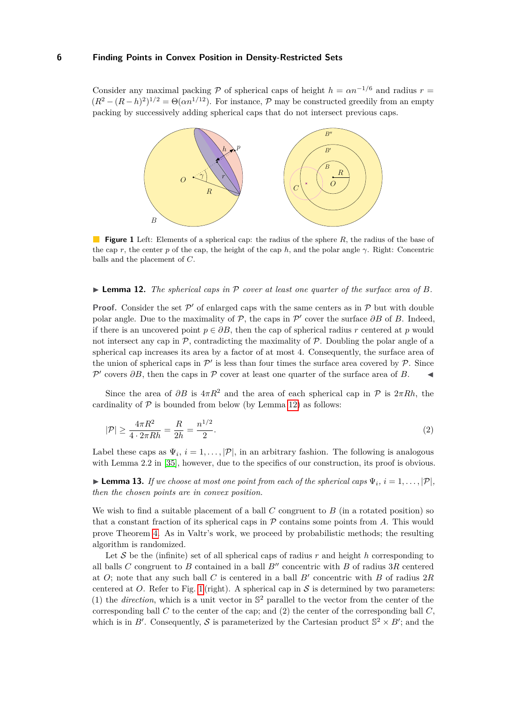<span id="page-5-0"></span>Consider any maximal packing  $\mathcal P$  of spherical caps of height  $h = \alpha n^{-1/6}$  and radius  $r =$  $(R^2 - (R - h)^2)^{1/2} = \Theta(\alpha n^{1/12})$ . For instance, P may be constructed greedily from an empty packing by successively adding spherical caps that do not intersect previous caps.



**Figure 1** Left: Elements of a spherical cap: the radius of the sphere *R*, the radius of the base of the cap *r*, the center *p* of the cap, the height of the cap *h*, and the polar angle  $\gamma$ . Right: Concentric balls and the placement of *C*.

## <span id="page-5-1"></span> $\triangleright$  **Lemma 12.** The spherical caps in  $\mathcal P$  cover at least one quarter of the surface area of  $B$ .

**Proof.** Consider the set  $\mathcal{P}'$  of enlarged caps with the same centers as in  $\mathcal{P}$  but with double polar angle. Due to the maximality of  $P$ , the caps in  $P'$  cover the surface  $\partial B$  of  $B$ . Indeed, if there is an uncovered point  $p \in \partial B$ , then the cap of spherical radius *r* centered at *p* would not intersect any cap in  $P$ , contradicting the maximality of  $P$ . Doubling the polar angle of a spherical cap increases its area by a factor of at most 4. Consequently, the surface area of the union of spherical caps in  $\mathcal{P}'$  is less than four times the surface area covered by  $\mathcal{P}$ . Since P' covers  $\partial B$ , then the caps in P cover at least one quarter of the surface area of B.

Since the area of  $\partial B$  is  $4\pi R^2$  and the area of each spherical cap in  $\mathcal P$  is  $2\pi Rh$ , the cardinality of  $P$  is bounded from below (by Lemma [12\)](#page-5-1) as follows:

<span id="page-5-2"></span>
$$
|\mathcal{P}| \ge \frac{4\pi R^2}{4 \cdot 2\pi Rh} = \frac{R}{2h} = \frac{n^{1/2}}{2}.
$$
 (2)

Label these caps as  $\Psi_i$ ,  $i = 1, ..., |\mathcal{P}|$ , in an arbitrary fashion. The following is analogous with Lemma 2.2 in [\[35\]](#page-18-2), however, due to the specifics of our construction, its proof is obvious.

**Lemma 13.** *If we choose at most one point from each of the spherical caps*  $\Psi_i$ ,  $i = 1, \ldots, |\mathcal{P}|$ , *then the chosen points are in convex position.*

We wish to find a suitable placement of a ball *C* congruent to *B* (in a rotated position) so that a constant fraction of its spherical caps in  $P$  contains some points from  $A$ . This would prove Theorem [4.](#page-1-2) As in Valtr's work, we proceed by probabilistic methods; the resulting algorithm is randomized.

Let S be the (infinite) set of all spherical caps of radius  $r$  and height  $h$  corresponding to all balls *C* congruent to *B* contained in a ball  $B''$  concentric with *B* of radius 3*R* centered at  $O$ ; note that any such ball  $C$  is centered in a ball  $B'$  concentric with  $B$  of radius  $2R$ centered at O. Refer to Fig. [1](#page-5-0) (right). A spherical cap in  $S$  is determined by two parameters: (1) the *direction*, which is a unit vector in  $\mathbb{S}^2$  parallel to the vector from the center of the corresponding ball  $C$  to the center of the cap; and  $(2)$  the center of the corresponding ball  $C$ , which is in *B*<sup> $\prime$ </sup>. Consequently, *S* is parameterized by the Cartesian product  $\mathbb{S}^2 \times B'$ ; and the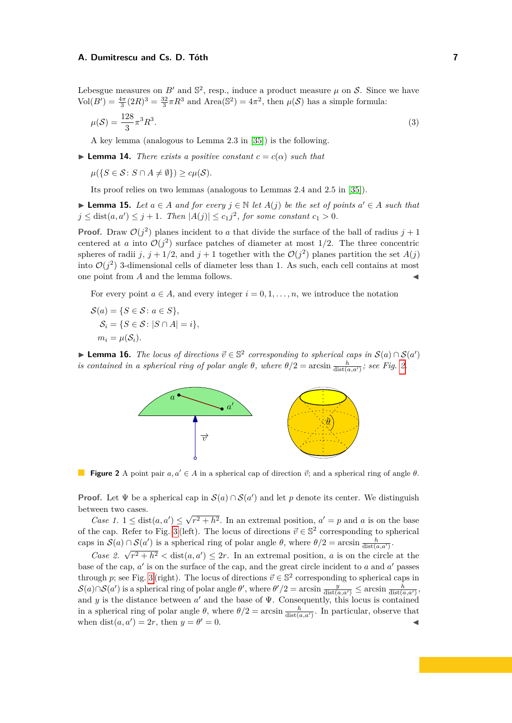Lebesgue measures on  $B'$  and  $\mathbb{S}^2$ , resp., induce a product measure  $\mu$  on S. Since we have  $Vol(B') = \frac{4\pi}{3}(2R)^3 = \frac{32}{3}\pi R^3$  and  $Area(S^2) = 4\pi^2$ , then  $\mu(S)$  has a simple formula:

$$
\mu(S) = \frac{128}{3}\pi^3 R^3. \tag{3}
$$

A key lemma (analogous to Lemma 2.3 in [\[35\]](#page-18-2)) is the following.

<span id="page-6-3"></span>**I Lemma 14.** *There exists a positive constant*  $c = c(\alpha)$  *such that* 

 $\mu({S \in S : S \cap A \neq \emptyset}) \geq c\mu(S).$ 

Its proof relies on two lemmas (analogous to Lemmas 2.4 and 2.5 in [\[35\]](#page-18-2)).

<span id="page-6-2"></span>▶ **Lemma 15.** *Let*  $a \in A$  *and for every*  $j \in \mathbb{N}$  *let*  $A(j)$  *be the set of points*  $a' \in A$  *such that*  $j \leq \text{dist}(a, a') \leq j + 1$ *. Then*  $|A(j)| \leq c_1 j^2$ *, for some constant*  $c_1 > 0$ *.* 

**Proof.** Draw  $\mathcal{O}(j^2)$  planes incident to *a* that divide the surface of the ball of radius  $j + 1$ centered at *a* into  $\mathcal{O}(j^2)$  surface patches of diameter at most 1/2. The three concentric spheres of radii *j*,  $j + 1/2$ , and  $j + 1$  together with the  $\mathcal{O}(j^2)$  planes partition the set  $A(j)$ into  $\mathcal{O}(j^2)$  3-dimensional cells of diameter less than 1. As such, each cell contains at most one point from *A* and the lemma follows.

For every point  $a \in A$ , and every integer  $i = 0, 1, \ldots, n$ , we introduce the notation

 $\mathcal{S}(a) = \{S \in \mathcal{S} : a \in S\},\$  $S_i = \{ S \in S : |S \cap A| = i \},\$  $m_i = \mu(\mathcal{S}_i)$ .

<span id="page-6-1"></span><span id="page-6-0"></span>**► Lemma 16.** *The locus of directions*  $\vec{v} \in \mathbb{S}^2$  *corresponding to spherical caps in*  $S(a) \cap S(a')$ *is contained in a spherical ring of polar angle*  $\theta$ *, where*  $\theta/2 = \arcsin \frac{h}{\text{dist}(a,a')}$ ; see Fig. [2.](#page-6-0)



**Figure 2** A point pair  $a, a' \in A$  in a spherical cap of direction  $\vec{v}$ ; and a spherical ring of angle  $\theta$ .

**Proof.** Let  $\Psi$  be a spherical cap in  $\mathcal{S}(a) \cap \mathcal{S}(a')$  and let p denote its center. We distinguish between two cases. √

*Case 1.*  $1 \leq dist(a, a') \leq$  $\sqrt{r^2 + h^2}$ . In an extremal position,  $a' = p$  and *a* is on the base of the cap. Refer to Fig. [3](#page-7-0) (left). The locus of directions  $\vec{v} \in \mathbb{S}^2$  corresponding to spherical caps in  $\mathcal{S}(a) \cap \mathcal{S}(a')$  is a spherical ring of polar angle  $\theta$ , where  $\theta/2 = \arcsin \frac{h}{\text{dist}(a,a')}$ .

*Case 2.*  $\sqrt{r^2 + h^2} < \text{dist}(a, a') \leq 2r$ . In an extremal position, *a* is on the circle at the base of the cap,  $a'$  is on the surface of the cap, and the great circle incident to  $a$  and  $a'$  passes through *p*; see Fig. [3](#page-7-0) (right). The locus of directions  $\vec{v} \in \mathbb{S}^2$  corresponding to spherical caps in  $\mathcal{S}(a) \cap \mathcal{S}(a')$  is a spherical ring of polar angle  $\theta'$ , where  $\theta'/2 = \arcsin \frac{y}{\text{dist}(a,a')} \leq \arcsin \frac{h}{\text{dist}(a,a')}$ and *y* is the distance between  $a'$  and the base of  $\Psi$ . Consequently, this locus is contained in a spherical ring of polar angle  $\theta$ , where  $\theta/2 = \arcsin \frac{h}{\text{dist}(a,a')}$ . In particular, observe that when  $dist(a, a') = 2r$ , then  $y = \theta$  $\alpha' = 0.$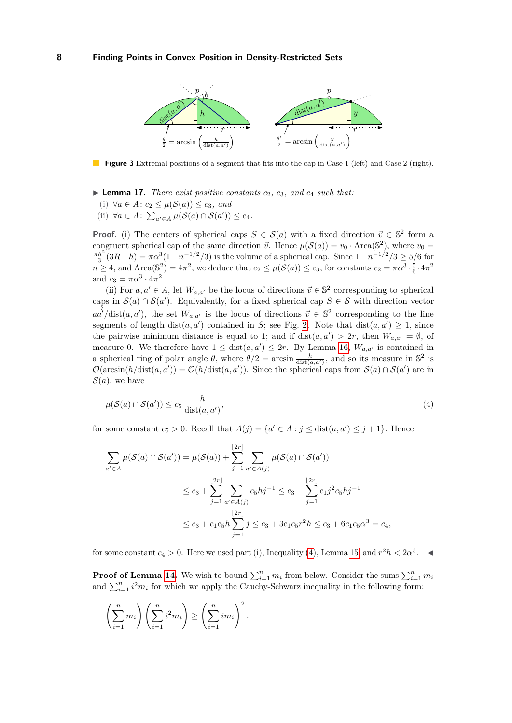<span id="page-7-0"></span>

**Figure 3** Extremal positions of a segment that fits into the cap in Case 1 (left) and Case 2 (right).

- <span id="page-7-2"></span> $\blacktriangleright$  **Lemma 17.** *There exist positive constants*  $c_2$ *,*  $c_3$ *, and*  $c_4$  *such that:*
- (i) ∀*a* ∈ *A*:  $c_2 \leq \mu(S(a)) \leq c_3$ *, and*
- (ii)  $\forall a \in A: \sum_{a' \in A} \mu(\mathcal{S}(a) \cap \mathcal{S}(a')) \leq c_4.$

**Proof.** (i) The centers of spherical caps  $S \in \mathcal{S}(a)$  with a fixed direction  $\vec{v} \in \mathbb{S}^2$  form a congruent spherical cap of the same direction  $\vec{v}$ . Hence  $\mu(\mathcal{S}(a)) = v_0 \cdot \text{Area}(\mathbb{S}^2)$ , where  $v_0 =$  $\frac{\pi h^2}{3}(3R - h) = \pi \alpha^3 (1 - n^{-1/2}/3)$  is the volume of a spherical cap. Since  $1 - n^{-1/2}/3 \ge 5/6$  for  $n \geq 4$ , and Area( $\mathbb{S}^2$ ) =  $4\pi^2$ , we deduce that  $c_2 \leq \mu(\mathcal{S}(a)) \leq c_3$ , for constants  $c_2 = \pi \alpha^3 \cdot \frac{5}{6} \cdot 4\pi^2$ and  $c_3 = \pi \alpha^3 \cdot 4\pi^2$ .

(ii) For  $a, a' \in A$ , let  $W_{a,a'}$  be the locus of directions  $\vec{v} \in \mathbb{S}^2$  corresponding to spherical caps in  $S(a) \cap S(a')$ . Equivalently, for a fixed spherical cap  $S \in S$  with direction vector  $\frac{d^2y}{dx^2}$  is the locus of directions  $\vec{v} \in \mathbb{S}^2$  corresponding to the line segments of length dist $(a, a')$  contained in *S*; see Fig. [2.](#page-6-0) Note that  $dist(a, a') \geq 1$ , since the pairwise minimum distance is equal to 1; and if  $dist(a, a') > 2r$ , then  $W_{a,a'} = \emptyset$ , of measure 0. We therefore have  $1 \leq dist(a, a') \leq 2r$ . By Lemma [16,](#page-6-1)  $W_{a,a'}$  is contained in a spherical ring of polar angle  $\theta$ , where  $\theta/2 = \arcsin \frac{h}{\text{dist}(a,a')}$ , and so its measure in  $\mathbb{S}^2$  is  $\mathcal{O}(\arcsin(h/\text{dist}(a, a')) = \mathcal{O}(h/\text{dist}(a, a'))$ . Since the spherical caps from  $\mathcal{S}(a) \cap \mathcal{S}(a')$  are in  $\mathcal{S}(a)$ , we have

<span id="page-7-1"></span>
$$
\mu(\mathcal{S}(a) \cap \mathcal{S}(a')) \le c_5 \frac{h}{\text{dist}(a, a')},\tag{4}
$$

for some constant  $c_5 > 0$ . Recall that  $A(j) = \{a' \in A : j \leq \text{dist}(a, a') \leq j + 1\}$ . Hence

$$
\sum_{a' \in A} \mu(\mathcal{S}(a) \cap \mathcal{S}(a')) = \mu(\mathcal{S}(a)) + \sum_{j=1}^{\lfloor 2r \rfloor} \sum_{a' \in A(j)} \mu(\mathcal{S}(a) \cap \mathcal{S}(a'))
$$
\n
$$
\leq c_3 + \sum_{j=1}^{\lfloor 2r \rfloor} \sum_{a' \in A(j)} c_5 h j^{-1} \leq c_3 + \sum_{j=1}^{\lfloor 2r \rfloor} c_1 j^2 c_5 h j^{-1}
$$
\n
$$
\leq c_3 + c_1 c_5 h \sum_{j=1}^{\lfloor 2r \rfloor} j \leq c_3 + 3 c_1 c_5 r^2 h \leq c_3 + 6 c_1 c_5 \alpha^3 = c_4,
$$

for some constant  $c_4 > 0$ . Here we used part (i), Inequality [\(4\)](#page-7-1), Lemma [15,](#page-6-2) and  $r^2h < 2\alpha^3$ .

**Proof of Lemma [14.](#page-6-3)** We wish to bound  $\sum_{i=1}^{n} m_i$  from below. Consider the sums  $\sum_{i=1}^{n} m_i$ and  $\sum_{i=1}^{n} i^2 m_i$  for which we apply the Cauchy-Schwarz inequality in the following form:

$$
\left(\sum_{i=1}^n m_i\right) \left(\sum_{i=1}^n i^2 m_i\right) \ge \left(\sum_{i=1}^n i m_i\right)^2.
$$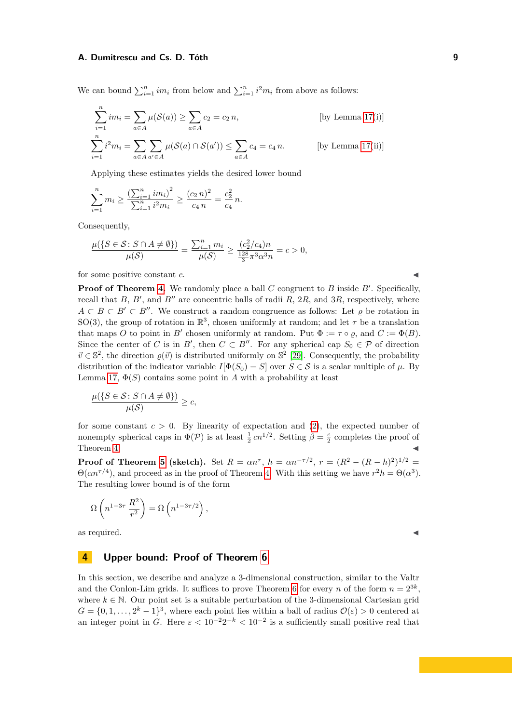We can bound  $\sum_{i=1}^{n} im_i$  from below and  $\sum_{i=1}^{n} i^2 m_i$  from above as follows:

$$
\sum_{i=1}^{n} im_i = \sum_{a \in A} \mu(\mathcal{S}(a)) \ge \sum_{a \in A} c_2 = c_2 n,
$$
 [by Lemma 17(i)]

$$
\sum_{i=1}^{n} i^2 m_i = \sum_{a \in A} \sum_{a' \in A} \mu(\mathcal{S}(a) \cap \mathcal{S}(a')) \le \sum_{a \in A} c_4 = c_4 n.
$$
 [by Lemma 17(ii)]

Applying these estimates yields the desired lower bound

$$
\sum_{i=1}^{n} m_i \ge \frac{\left(\sum_{i=1}^{n} im_i\right)^2}{\sum_{i=1}^{n} i^2 m_i} \ge \frac{(c_2 n)^2}{c_4 n} = \frac{c_2^2}{c_4} n.
$$

Consequently,

$$
\frac{\mu(\{S\in\mathcal{S}\colon S\cap A\neq\emptyset\})}{\mu(\mathcal{S})}=\frac{\sum_{i=1}^nm_i}{\mu(\mathcal{S})}\geq\frac{(c_2^2/c_4)n}{\frac{128}{3}\pi^3\alpha^3n}=c>0,
$$

for some positive constant *c*.

**Proof of Theorem [4.](#page-1-2)** We randomly place a ball  $C$  congruent to  $B$  inside  $B'$ . Specifically, recall that  $B$ ,  $B'$ , and  $B''$  are concentric balls of radii  $R$ ,  $2R$ , and  $3R$ , respectively, where  $A \subset B \subset B' \subset B''$ . We construct a random congruence as follows: Let  $\rho$  be rotation in SO(3), the group of rotation in  $\mathbb{R}^3$ , chosen uniformly at random; and let  $\tau$  be a translation that maps *O* to point in *B'* chosen uniformly at random. Put  $\Phi := \tau \circ \varrho$ , and  $C := \Phi(B)$ . Since the center of *C* is in *B'*, then  $C \subset B''$ . For any spherical cap  $S_0 \in \mathcal{P}$  of direction  $\vec{v} \in \mathbb{S}^2$ , the direction  $\varrho(\vec{v})$  is distributed uniformly on  $\mathbb{S}^2$  [\[29\]](#page-18-14). Consequently, the probability distribution of the indicator variable  $I[\Phi(S_0) = S]$  over  $S \in \mathcal{S}$  is a scalar multiple of  $\mu$ . By Lemma [17,](#page-7-2)  $\Phi(S)$  contains some point in *A* with a probability at least

$$
\frac{\mu({S \in S : S \cap A \neq \emptyset})}{\mu(S)} \geq c,
$$

for some constant  $c > 0$ . By linearity of expectation and  $(2)$ , the expected number of nonempty spherical caps in  $\Phi(\mathcal{P})$  is at least  $\frac{1}{2}cn^{1/2}$ . Setting  $\beta = \frac{c}{2}$  completes the proof of Theorem [4.](#page-1-2)  $\blacksquare$ 

**Proof of Theorem [5](#page-1-3)** (sketch). Set  $R = \alpha n^{\tau}$ ,  $h = \alpha n^{-\tau/2}$ ,  $r = (R^2 - (R - h)^2)^{1/2}$  $\Theta(\alpha n^{\tau/4})$ , and proceed as in the proof of Theorem [4.](#page-1-2) With this setting we have  $r^2h = \Theta(\alpha^3)$ . The resulting lower bound is of the form

$$
\Omega\left(n^{1-3\tau}\frac{R^2}{r^2}\right) = \Omega\left(n^{1-3\tau/2}\right),\,
$$

as required.  $\blacktriangleleft$ 

# <span id="page-8-0"></span>**4 Upper bound: Proof of Theorem [6](#page-2-1)**

In this section, we describe and analyze a 3-dimensional construction, similar to the Valtr and the Conlon-Lim grids. It suffices to prove Theorem [6](#page-2-1) for every *n* of the form  $n = 2^{3k}$ , where  $k \in \mathbb{N}$ . Our point set is a suitable perturbation of the 3-dimensional Cartesian grid  $G = \{0, 1, \ldots, 2^k - 1\}^3$ , where each point lies within a ball of radius  $\mathcal{O}(\varepsilon) > 0$  centered at an integer point in *G*. Here  $\varepsilon < 10^{-2}2^{-k} < 10^{-2}$  is a sufficiently small positive real that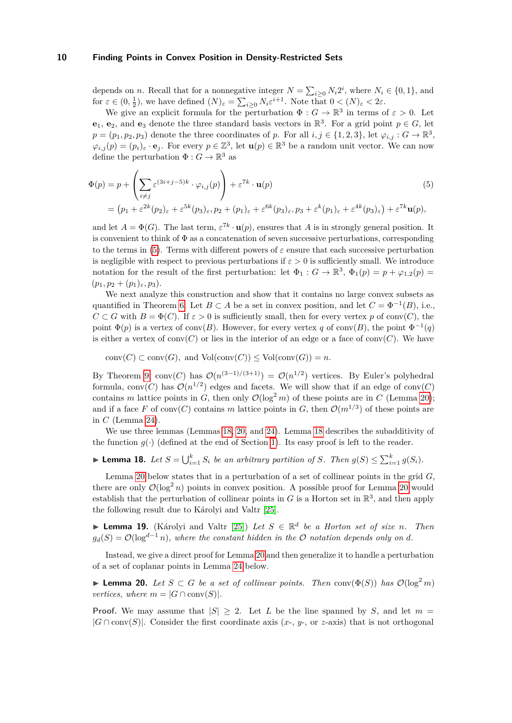depends on *n*. Recall that for a nonnegative integer  $N = \sum_{i \geq 0} N_i 2^i$ , where  $N_i \in \{0, 1\}$ , and for  $\varepsilon \in (0, \frac{1}{2})$ , we have defined  $(N)_{\varepsilon} = \sum_{i \geq 0} N_i \varepsilon^{i+1}$ . Note that  $0 < (N)_{\varepsilon} < 2\varepsilon$ .

We give an explicit formula for the perturbation  $\Phi: G \to \mathbb{R}^3$  in terms of  $\varepsilon > 0$ . Let **e**<sub>1</sub>, **e**<sub>2</sub>, and **e**<sub>3</sub> denote the three standard basis vectors in  $\mathbb{R}^3$ . For a grid point  $p \in G$ , let  $p = (p_1, p_2, p_3)$  denote the three coordinates of *p*. For all  $i, j \in \{1, 2, 3\}$ , let  $\varphi_{i,j} : G \to \mathbb{R}^3$ ,  $\varphi_{i,j}(p) = (p_i)_\varepsilon \cdot \mathbf{e}_j$ . For every  $p \in \mathbb{Z}^3$ , let  $\mathbf{u}(p) \in \mathbb{R}^3$  be a random unit vector. We can now define the perturbation  $\Phi: G \to \mathbb{R}^3$  as

<span id="page-9-0"></span>
$$
\Phi(p) = p + \left(\sum_{i \neq j} \varepsilon^{(3i+j-5)k} \cdot \varphi_{i,j}(p)\right) + \varepsilon^{7k} \cdot \mathbf{u}(p)
$$
\n
$$
= (p_1 + \varepsilon^{2k} (p_2)_{\varepsilon} + \varepsilon^{5k} (p_3)_{\varepsilon}, p_2 + (p_1)_{\varepsilon} + \varepsilon^{6k} (p_3)_{\varepsilon}, p_3 + \varepsilon^k (p_1)_{\varepsilon} + \varepsilon^{4k} (p_3)_{\varepsilon}) + \varepsilon^{7k} \mathbf{u}(p),
$$
\n(5)

and let  $A = \Phi(G)$ . The last term,  $\varepsilon^{7k} \cdot \mathbf{u}(p)$ , ensures that *A* is in strongly general position. It is convenient to think of  $\Phi$  as a concatenation of seven successive perturbations, corresponding to the terms in [\(5\)](#page-9-0). Terms with different powers of  $\varepsilon$  ensure that each successive perturbation is negligible with respect to previous perturbations if  $\varepsilon > 0$  is sufficiently small. We introduce notation for the result of the first perturbation: let  $\Phi_1: G \to \mathbb{R}^3$ ,  $\Phi_1(p) = p + \varphi_{1,2}(p) =$  $(p_1, p_2 + (p_1)_\varepsilon, p_3).$ 

We next analyze this construction and show that it contains no large convex subsets as quantified in Theorem [6.](#page-2-1) Let  $B \subset A$  be a set in convex position, and let  $C = \Phi^{-1}(B)$ , i.e.,  $C \subset G$  with  $B = \Phi(C)$ . If  $\varepsilon > 0$  is sufficiently small, then for every vertex *p* of conv(*C*), the point  $\Phi(p)$  is a vertex of conv(*B*). However, for every vertex *q* of conv(*B*), the point  $\Phi^{-1}(q)$ is either a vertex of conv $(C)$  or lies in the interior of an edge or a face of conv $(C)$ . We have

 $conv(C) \subset conv(G)$ , and  $Vol(\text{conv}(C)) \le Vol(\text{conv}(G)) = n$ .

By Theorem [9,](#page-4-0) conv $(C)$  has  $\mathcal{O}(n^{(3-1)/(3+1)}) = \mathcal{O}(n^{1/2})$  vertices. By Euler's polyhedral formula, conv $(C)$  has  $\mathcal{O}(n^{1/2})$  edges and facets. We will show that if an edge of conv $(C)$ contains *m* lattice points in *G*, then only  $\mathcal{O}(\log^2 m)$  of these points are in *C* (Lemma [20\)](#page-9-1); and if a face F of conv $(C)$  contains m lattice points in G, then  $\mathcal{O}(m^{1/3})$  of these points are in *C* (Lemma [24\)](#page-12-0).

We use three lemmas (Lemmas [18,](#page-9-2) [20,](#page-9-1) and [24\)](#page-12-0). Lemma [18](#page-9-2) describes the subadditivity of the function  $g(\cdot)$  (defined at the end of Section [1\)](#page-0-0). Its easy proof is left to the reader.

<span id="page-9-2"></span>► **Lemma 18.** Let  $S = \bigcup_{i=1}^k S_i$  be an arbitrary partition of  $S$ *. Then*  $g(S) \leq \sum_{i=1}^k g(S_i)$ *.* 

Lemma [20](#page-9-1) below states that in a perturbation of a set of collinear points in the grid *G*, there are only  $\mathcal{O}(\log^2 n)$  points in convex position. A possible proof for Lemma [20](#page-9-1) would establish that the perturbation of collinear points in  $G$  is a Horton set in  $\mathbb{R}^3$ , and then apply the following result due to Károlyi and Valtr [\[25\]](#page-18-15).

▶ Lemma 19. (Károlyi and Valtr [\[25\]](#page-18-15)) *Let*  $S \in \mathbb{R}^d$  *be a Horton set of size n. Then*  $g_d(S) = \mathcal{O}(\log^{d-1} n)$ , where the constant hidden in the  $\mathcal O$  notation depends only on *d*.

Instead, we give a direct proof for Lemma [20](#page-9-1) and then generalize it to handle a perturbation of a set of coplanar points in Lemma [24](#page-12-0) below.

<span id="page-9-1"></span>**► Lemma 20.** *Let*  $S \subset G$  *be a set of collinear points. Then* conv $(\Phi(S))$  *has*  $\mathcal{O}(\log^2 m)$ *vertices, where*  $m = |G \cap \text{conv}(S)|$ *.* 

**Proof.** We may assume that  $|S| \geq 2$ . Let *L* be the line spanned by *S*, and let  $m =$  $|G \cap conv(S)|$ . Consider the first coordinate axis  $(x, y, \text{ or } z\text{-axis})$  that is not orthogonal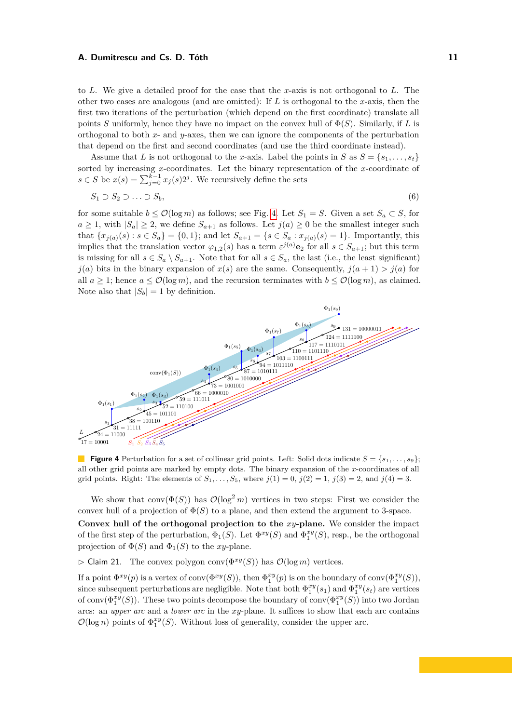to *L*. We give a detailed proof for the case that the *x*-axis is not orthogonal to *L*. The other two cases are analogous (and are omitted): If *L* is orthogonal to the *x*-axis, then the first two iterations of the perturbation (which depend on the first coordinate) translate all points *S* uniformly, hence they have no impact on the convex hull of  $\Phi(S)$ . Similarly, if *L* is orthogonal to both *x*- and *y*-axes, then we can ignore the components of the perturbation that depend on the first and second coordinates (and use the third coordinate instead).

Assume that *L* is not orthogonal to the *x*-axis. Label the points in *S* as  $S = \{s_1, \ldots, s_t\}$ sorted by increasing *x*-coordinates. Let the binary representation of the *x*-coordinate of *s* ∈ *S* be  $x(s) = \sum_{j=0}^{k-1} x_j(s)2^j$ . We recursively define the sets

<span id="page-10-1"></span>
$$
S_1 \supset S_2 \supset \ldots \supset S_b,\tag{6}
$$

for some suitable  $b \leq \mathcal{O}(\log m)$  as follows; see Fig. [4.](#page-10-0) Let  $S_1 = S$ . Given a set  $S_a \subset S$ , for  $a \geq 1$ , with  $|S_a| \geq 2$ , we define  $S_{a+1}$  as follows. Let  $j(a) \geq 0$  be the smallest integer such that  $\{x_{j(a)}(s) : s \in S_a\} = \{0, 1\}$ ; and let  $S_{a+1} = \{s \in S_a : x_{j(a)}(s) = 1\}$ . Importantly, this implies that the translation vector  $\varphi_{1,2}(s)$  has a term  $\varepsilon^{j(a)}$ **e**<sub>2</sub> for all  $s \in S_{a+1}$ ; but this term is missing for all  $s \in S_a \setminus S_{a+1}$ . Note that for all  $s \in S_a$ , the last (i.e., the least significant)  $j(a)$  bits in the binary expansion of  $x(s)$  are the same. Consequently,  $j(a+1) > j(a)$  for all  $a \geq 1$ ; hence  $a \leq \mathcal{O}(\log m)$ , and the recursion terminates with  $b \leq \mathcal{O}(\log m)$ , as claimed. Note also that  $|S_b| = 1$  by definition.

<span id="page-10-0"></span>

**Figure 4** Perturbation for a set of collinear grid points. Left: Solid dots indicate  $S = \{s_1, \ldots, s_9\}$ ; all other grid points are marked by empty dots. The binary expansion of the *x*-coordinates of all grid points. Right: The elements of  $S_1, \ldots, S_5$ , where  $j(1) = 0$ ,  $j(2) = 1$ ,  $j(3) = 2$ , and  $j(4) = 3$ .

We show that conv $(\Phi(S))$  has  $\mathcal{O}(\log^2 m)$  vertices in two steps: First we consider the convex hull of a projection of  $\Phi(S)$  to a plane, and then extend the argument to 3-space. **Convex hull of the orthogonal projection to the** *xy***-plane.** We consider the impact of the first step of the perturbation,  $\Phi_1(S)$ . Let  $\Phi^{xy}(S)$  and  $\Phi_1^{xy}(S)$ , resp., be the orthogonal projection of  $\Phi(S)$  and  $\Phi_1(S)$  to the *xy*-plane.

<span id="page-10-2"></span> $\triangleright$  Claim 21. The convex polygon conv( $\Phi^{xy}(S)$ ) has  $\mathcal{O}(\log m)$  vertices.

If a point  $\Phi^{xy}(p)$  is a vertex of conv $(\Phi^{xy}(S))$ , then  $\Phi^{xy}_1(p)$  is on the boundary of conv $(\Phi^{xy}_1(S))$ , since subsequent perturbations are negligible. Note that both  $\Phi_1^{xy}(s_1)$  and  $\Phi_1^{xy}(s_t)$  are vertices of conv $(\Phi_1^{xy}(S))$ . These two points decompose the boundary of conv $(\Phi_1^{xy}(S))$  into two Jordan arcs: an *upper arc* and a *lower arc* in the *xy*-plane. It suffices to show that each arc contains  $\mathcal{O}(\log n)$  points of  $\Phi_1^{xy}(S)$ . Without loss of generality, consider the upper arc.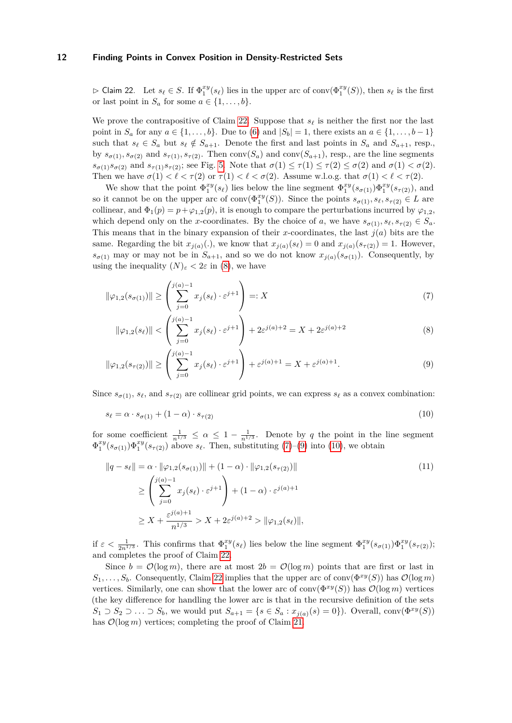<span id="page-11-0"></span> $\triangleright$  Claim 22. Let  $s_\ell \in S$ . If  $\Phi_1^{xy}(s_\ell)$  lies in the upper arc of conv $(\Phi_1^{xy}(S))$ , then  $s_\ell$  is the first or last point in  $S_a$  for some  $a \in \{1, \ldots, b\}.$ 

We prove the contrapositive of Claim [22.](#page-11-0) Suppose that  $s_\ell$  is neither the first nor the last point in  $S_a$  for any  $a \in \{1, \ldots, b\}$ . Due to [\(6\)](#page-10-1) and  $|S_b| = 1$ , there exists an  $a \in \{1, \ldots, b-1\}$ such that  $s_{\ell} \in S_a$  but  $s_{\ell} \notin S_{a+1}$ . Denote the first and last points in  $S_a$  and  $S_{a+1}$ , resp., by  $s_{\sigma(1)}$ ,  $s_{\sigma(2)}$  and  $s_{\tau(1)}$ ,  $s_{\tau(2)}$ . Then conv( $S_a$ ) and conv( $S_{a+1}$ ), resp., are the line segments  $s_{\sigma(1)}s_{\sigma(2)}$  and  $s_{\tau(1)}s_{\tau(2)}$ ; see Fig. [5.](#page-12-1) Note that  $\sigma(1) \leq \tau(1) \leq \tau(2) \leq \sigma(2)$  and  $\sigma(1) < \sigma(2)$ . Then we have  $\sigma(1) < l < \tau(2)$  or  $\tau(1) < l < \sigma(2)$ . Assume w.l.o.g. that  $\sigma(1) < l < \tau(2)$ .

We show that the point  $\Phi_1^{xy}(s_\ell)$  lies below the line segment  $\Phi_1^{xy}(s_{\sigma(1)})\Phi_1^{xy}(s_{\tau(2)})$ , and so it cannot be on the upper arc of conv $(\Phi_1^{xy}(S))$ . Since the points  $s_{\sigma(1)}, s_{\ell}, s_{\tau(2)} \in L$  are collinear, and  $\Phi_1(p) = p + \varphi_{1,2}(p)$ , it is enough to compare the perturbations incurred by  $\varphi_{1,2}$ , which depend only on the *x*-coordinates. By the choice of *a*, we have  $s_{\sigma(1)}, s_{\ell}, s_{\tau(2)} \in S_a$ . This means that in the binary expansion of their *x*-coordinates, the last  $j(a)$  bits are the same. Regarding the bit  $x_{j(a)}(.)$ , we know that  $x_{j(a)}(s_\ell) = 0$  and  $x_{j(a)}(s_{\tau(2)}) = 1$ . However,  $s_{\sigma(1)}$  may or may not be in  $S_{a+1}$ , and so we do not know  $x_{i(a)}(s_{\sigma(1)})$ . Consequently, by using the inequality  $(N)_{\varepsilon}$  < 2 $\varepsilon$  in [\(8\)](#page-11-1), we have

$$
\|\varphi_{1,2}(s_{\sigma(1)})\| \ge \left(\sum_{j=0}^{j(a)-1} x_j(s_\ell) \cdot \varepsilon^{j+1}\right) =: X \tag{7}
$$

<span id="page-11-3"></span><span id="page-11-2"></span><span id="page-11-1"></span>
$$
\|\varphi_{1,2}(s_{\ell})\| < \left(\sum_{j=0}^{j(a)-1} x_j(s_{\ell}) \cdot \varepsilon^{j+1}\right) + 2\varepsilon^{j(a)+2} = X + 2\varepsilon^{j(a)+2} \tag{8}
$$

$$
\|\varphi_{1,2}(s_{\tau(2)})\| \ge \left(\sum_{j=0}^{j(a)-1} x_j(s_\ell) \cdot \varepsilon^{j+1}\right) + \varepsilon^{j(a)+1} = X + \varepsilon^{j(a)+1}.
$$
 (9)

Since  $s_{\sigma(1)}$ ,  $s_{\ell}$ , and  $s_{\tau(2)}$  are collinear grid points, we can express  $s_{\ell}$  as a convex combination:

<span id="page-11-4"></span>
$$
s_{\ell} = \alpha \cdot s_{\sigma(1)} + (1 - \alpha) \cdot s_{\tau(2)} \tag{10}
$$

for some coefficient  $\frac{1}{n^{1/3}} \leq \alpha \leq 1 - \frac{1}{n^{1/3}}$ . Denote by *q* the point in the line segment  $\Phi_1^{xy}(s_{\sigma(1)})\Phi_1^{xy}(s_{\tau(2)})$  above  $s_\ell$ . Then, substituting [\(7\)](#page-11-2)–[\(9\)](#page-11-3) into [\(10\)](#page-11-4), we obtain

$$
||q - s_{\ell}|| = \alpha \cdot ||\varphi_{1,2}(s_{\sigma(1)})|| + (1 - \alpha) \cdot ||\varphi_{1,2}(s_{\tau(2)})||
$$
\n
$$
\geq \left(\sum_{j=0}^{j(a)-1} x_j(s_{\ell}) \cdot \varepsilon^{j+1}\right) + (1 - \alpha) \cdot \varepsilon^{j(a)+1}
$$
\n
$$
\geq X + \frac{\varepsilon^{j(a)+1}}{n^{1/3}} > X + 2\varepsilon^{j(a)+2} > ||\varphi_{1,2}(s_{\ell})||,
$$
\n
$$
(11)
$$

if  $\varepsilon < \frac{1}{2n^{1/3}}$ . This confirms that  $\Phi_1^{xy}(s_\ell)$  lies below the line segment  $\Phi_1^{xy}(s_{\sigma(1)})\Phi_1^{xy}(s_{\tau(2)})$ ; and completes the proof of Claim [22.](#page-11-0)

Since  $b = \mathcal{O}(\log m)$ , there are at most  $2b = \mathcal{O}(\log m)$  points that are first or last in  $S_1, \ldots, S_b$ . Consequently, Claim [22](#page-11-0) implies that the upper arc of conv $(\Phi^{xy}(S))$  has  $\mathcal{O}(\log m)$ vertices. Similarly, one can show that the lower arc of conv $(\Phi^{xy}(S))$  has  $\mathcal{O}(\log m)$  vertices (the key difference for handling the lower arc is that in the recursive definition of the sets *S*<sub>1</sub> ⊃ *S*<sub>2</sub> ⊃ *...* ⊃ *S*<sub>*b*</sub>, we would put *S*<sub>*a*+1</sub> = {*s* ∈ *S*<sub>*a*</sub> : *x*<sub>*j*(*a*)</sub>(*s*) = 0}). Overall, conv( $\Phi^{xy}(S)$ ) has  $\mathcal{O}(\log m)$  vertices; completing the proof of Claim [21.](#page-10-2)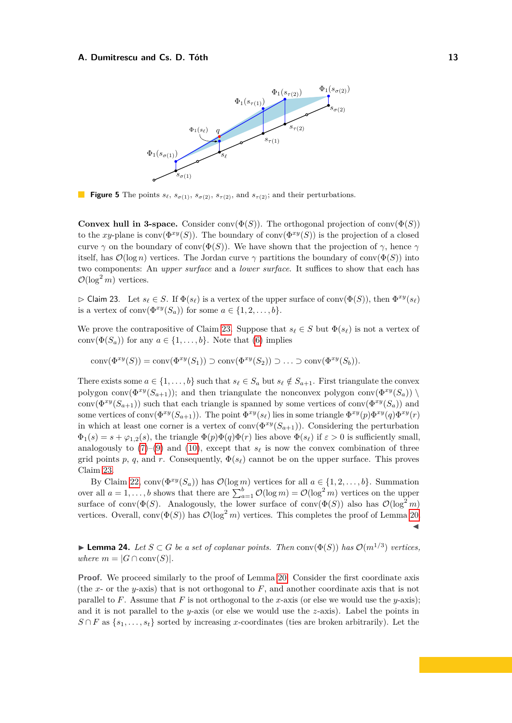<span id="page-12-1"></span>

**Figure 5** The points  $s_{\ell}$ ,  $s_{\sigma(1)}$ ,  $s_{\sigma(2)}$ ,  $s_{\tau(2)}$ , and  $s_{\tau(2)}$ ; and their perturbations.

**Convex hull in 3-space.** Consider conv $(\Phi(S))$ . The orthogonal projection of conv $(\Phi(S))$ to the *xy*-plane is conv $(\Phi^{xy}(S))$ . The boundary of conv $(\Phi^{xy}(S))$  is the projection of a closed curve  $\gamma$  on the boundary of conv( $\Phi(S)$ ). We have shown that the projection of  $\gamma$ , hence  $\gamma$ itself, has  $\mathcal{O}(\log n)$  vertices. The Jordan curve  $\gamma$  partitions the boundary of conv $(\Phi(S))$  into two components: An *upper surface* and a *lower surface*. It suffices to show that each has  $\mathcal{O}(\log^2 m)$  vertices.

<span id="page-12-2"></span> $\triangleright$  Claim 23. Let  $s_\ell \in S$ . If  $\Phi(s_\ell)$  is a vertex of the upper surface of conv $(\Phi(S))$ , then  $\Phi^{xy}(s_\ell)$ is a vertex of conv $(\Phi^{xy}(S_a))$  for some  $a \in \{1, 2, \ldots, b\}.$ 

We prove the contrapositive of Claim [23.](#page-12-2) Suppose that  $s_\ell \in S$  but  $\Phi(s_\ell)$  is not a vertex of conv $(\Phi(S_a))$  for any  $a \in \{1, \ldots, b\}$ . Note that [\(6\)](#page-10-1) implies

$$
conv(\Phi^{xy}(S)) = conv(\Phi^{xy}(S_1)) \supset conv(\Phi^{xy}(S_2)) \supset \ldots \supset conv(\Phi^{xy}(S_b)).
$$

There exists some  $a \in \{1, \ldots, b\}$  such that  $s_\ell \in S_a$  but  $s_\ell \notin S_{a+1}$ . First triangulate the convex polygon conv $(\Phi^{xy}(S_{a+1}))$ ; and then triangulate the nonconvex polygon conv $(\Phi^{xy}(S_a))$ conv $(\Phi^{xy}(S_{a+1}))$  such that each triangle is spanned by some vertices of conv $(\Phi^{xy}(S_a))$  and some vertices of conv $(\Phi^{xy}(S_{a+1}))$ . The point  $\Phi^{xy}(s_\ell)$  lies in some triangle  $\Phi^{xy}(p)\Phi^{xy}(q)\Phi^{xy}(r)$ in which at least one corner is a vertex of conv $(\Phi^{xy}(S_{a+1}))$ . Considering the perturbation  $\Phi_1(s) = s + \varphi_{1,2}(s)$ , the triangle  $\Phi(p)\Phi(q)\Phi(r)$  lies above  $\Phi(s_\ell)$  if  $\varepsilon > 0$  is sufficiently small, analogously to  $(7)-(9)$  $(7)-(9)$  $(7)-(9)$  and  $(10)$ , except that  $s<sub>\ell</sub>$  is now the convex combination of three grid points p, q, and r. Consequently,  $\Phi(s_\ell)$  cannot be on the upper surface. This proves Claim [23.](#page-12-2)

By Claim [22,](#page-11-0)  $conv(\Phi^{xy}(S_a))$  has  $\mathcal{O}(\log m)$  vertices for all  $a \in \{1, 2, ..., b\}$ . Summation over all  $a = 1, \ldots, b$  shows that there are  $\sum_{a=1}^{b} \mathcal{O}(\log m) = \mathcal{O}(\log^2 m)$  vertices on the upper surface of conv $(\Phi(S))$ . Analogously, the lower surface of conv $(\Phi(S))$  also has  $\mathcal{O}(\log^2 m)$ vertices. Overall, conv $(\Phi(S))$  has  $\mathcal{O}(\log^2 m)$  vertices. This completes the proof of Lemma [20.](#page-9-1)  $\blacktriangleleft$ 

<span id="page-12-0"></span>▶ **Lemma 24.** *Let*  $S \subset G$  *be a set of coplanar points. Then* conv $(\Phi(S))$  *has*  $\mathcal{O}(m^{1/3})$  *vertices, where*  $m = |G \cap \text{conv}(S)|$ *.* 

**Proof.** We proceed similarly to the proof of Lemma [20.](#page-9-1) Consider the first coordinate axis (the *x*- or the *y*-axis) that is not orthogonal to *F*, and another coordinate axis that is not parallel to *F*. Assume that *F* is not orthogonal to the *x*-axis (or else we would use the *y*-axis); and it is not parallel to the *y*-axis (or else we would use the *z*-axis). Label the points in *S* ∩ *F* as {*s*<sub>1</sub>*, . . . , s*<sub>t</sub>} sorted by increasing *x*-coordinates (ties are broken arbitrarily). Let the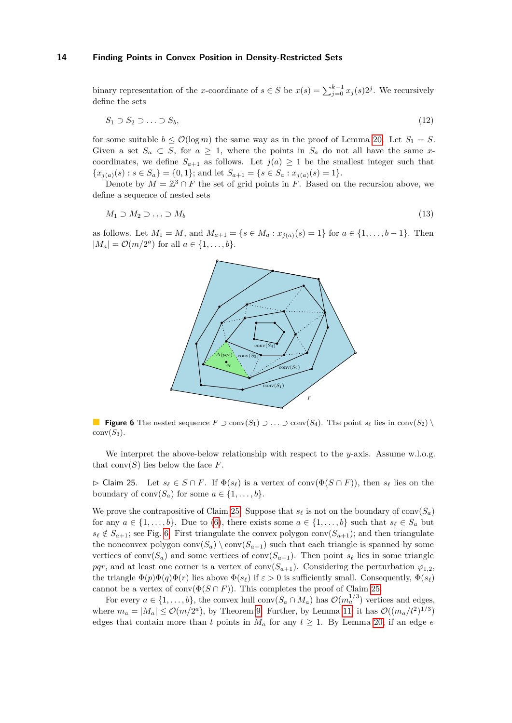binary representation of the *x*-coordinate of  $s \in S$  be  $x(s) = \sum_{j=0}^{k-1} x_j(s) 2^j$ . We recursively define the sets

$$
S_1 \supset S_2 \supset \ldots \supset S_b,\tag{12}
$$

for some suitable  $b \leq \mathcal{O}(\log m)$  the same way as in the proof of Lemma [20.](#page-9-1) Let  $S_1 = S$ . Given a set  $S_a \subset S$ , for  $a \geq 1$ , where the points in  $S_a$  do not all have the same *x*coordinates, we define  $S_{a+1}$  as follows. Let  $j(a) \geq 1$  be the smallest integer such that  ${x_{j(a)}(s) : s \in S_a} = \{0,1\};$  and let  $S_{a+1} = \{s \in S_a : x_{j(a)}(s) = 1\}.$ 

Denote by  $M = \mathbb{Z}^3 \cap F$  the set of grid points in  $\overline{F}$ . Based on the recursion above, we define a sequence of nested sets

$$
M_1 \supset M_2 \supset \ldots \supset M_b \tag{13}
$$

<span id="page-13-1"></span>as follows. Let  $M_1 = M$ , and  $M_{a+1} = \{s \in M_a : x_{i(a)}(s) = 1\}$  for  $a \in \{1, ..., b-1\}$ . Then  $|M_a| = \mathcal{O}(m/2^a)$  for all  $a \in \{1, ..., b\}.$ 



**Figure 6** The nested sequence  $F \supset \text{conv}(S_1) \supset \ldots \supset \text{conv}(S_4)$ . The point  $s_\ell$  lies in conv $(S_2) \setminus \ell$  $conv(S_3)$ .

We interpret the above-below relationship with respect to the *y*-axis. Assume w.l.o.g. that  $conv(S)$  lies below the face  $F$ .

<span id="page-13-0"></span> $\triangleright$  Claim 25. Let  $s_\ell \in S \cap F$ . If  $\Phi(s_\ell)$  is a vertex of conv $(\Phi(S \cap F))$ , then  $s_\ell$  lies on the boundary of conv $(S_a)$  for some  $a \in \{1, \ldots, b\}.$ 

We prove the contrapositive of Claim [25.](#page-13-0) Suppose that  $s_\ell$  is not on the boundary of conv $(S_a)$ for any  $a \in \{1, \ldots, b\}$ . Due to [\(6\)](#page-10-1), there exists some  $a \in \{1, \ldots, b\}$  such that  $s_\ell \in S_a$  but  $s_{\ell} \notin S_{a+1}$ ; see Fig. [6.](#page-13-1) First triangulate the convex polygon conv $(S_{a+1})$ ; and then triangulate the nonconvex polygon  $conv(S_a) \setminus conv(S_{a+1})$  such that each triangle is spanned by some vertices of conv $(S_a)$  and some vertices of conv $(S_{a+1})$ . Then point  $s_\ell$  lies in some triangle *pqr*, and at least one corner is a vertex of conv $(S_{a+1})$ . Considering the perturbation  $\varphi_{1,2}$ , the triangle  $\Phi(p)\Phi(q)\Phi(r)$  lies above  $\Phi(s_\ell)$  if  $\varepsilon > 0$  is sufficiently small. Consequently,  $\Phi(s_\ell)$ cannot be a vertex of conv $(\Phi(S \cap F))$ . This completes the proof of Claim [25.](#page-13-0)

For every  $a \in \{1, \ldots, b\}$ , the convex hull conv $(S_a \cap M_a)$  has  $\mathcal{O}(m_a^{1/3})$  vertices and edges, where  $m_a = |M_a| \leq \mathcal{O}(m/2^a)$ , by Theorem [9.](#page-4-0) Further, by Lemma [11,](#page-4-1) it has  $\mathcal{O}((m_a/t^2)^{1/3})$ edges that contain more than *t* points in  $M_a$  for any  $t \geq 1$ . By Lemma [20,](#page-9-1) if an edge *e*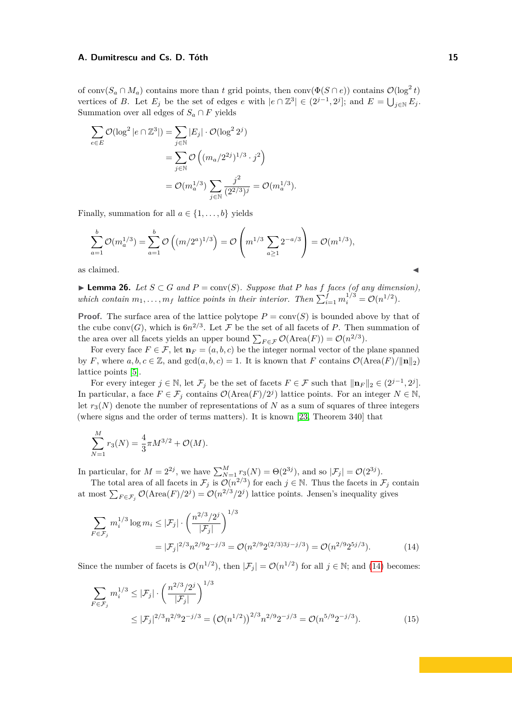of conv $(S_a \cap M_a)$  contains more than *t* grid points, then conv $(\Phi(S \cap e))$  contains  $\mathcal{O}(\log^2 t)$ vertices of *B*. Let  $E_j$  be the set of edges *e* with  $|e \cap \mathbb{Z}^3| \in (2^{j-1}, 2^j]$ ; and  $E = \bigcup_{j \in \mathbb{N}} E_j$ . Summation over all edges of  $S_a \cap F$  yields

$$
\sum_{e \in E} \mathcal{O}(\log^2 |e \cap \mathbb{Z}^3|) = \sum_{j \in \mathbb{N}} |E_j| \cdot \mathcal{O}(\log^2 2^j)
$$
  
= 
$$
\sum_{j \in \mathbb{N}} \mathcal{O}\left((m_a/2^{2j})^{1/3} \cdot j^2\right)
$$
  
= 
$$
\mathcal{O}(m_a^{1/3}) \sum_{j \in \mathbb{N}} \frac{j^2}{(2^{2/3})^j} = \mathcal{O}(m_a^{1/3}).
$$

Finally, summation for all  $a \in \{1, \ldots, b\}$  yields

$$
\sum_{a=1}^{b} \mathcal{O}(m_a^{1/3}) = \sum_{a=1}^{b} \mathcal{O}\left((m/2^a)^{1/3}\right) = \mathcal{O}\left(m^{1/3} \sum_{a\geq 1} 2^{-a/3}\right) = \mathcal{O}(m^{1/3}),
$$

as claimed.  $\blacktriangleleft$ 

<span id="page-14-2"></span>▶ **Lemma 26.** *Let*  $S \subset G$  *and*  $P = \text{conv}(S)$ *. Suppose that*  $P$  *has*  $f$  *faces (of any dimension), which contain*  $m_1, \ldots, m_f$  *lattice points in their interior. Then*  $\sum_{i=1}^{f} m_i^{1/3} = \mathcal{O}(n^{1/2})$ *.* 

**Proof.** The surface area of the lattice polytope  $P = \text{conv}(S)$  is bounded above by that of the cube conv $(G)$ , which is  $6n^{2/3}$ . Let F be the set of all facets of P. Then summation of the area over all facets yields an upper bound  $\sum_{F \in \mathcal{F}} \mathcal{O}(\text{Area}(F)) = \mathcal{O}(n^{2/3})$ .

For every face  $F \in \mathcal{F}$ , let  $\mathbf{n}_F = (a, b, c)$  be the integer normal vector of the plane spanned by *F*, where  $a, b, c \in \mathbb{Z}$ , and  $gcd(a, b, c) = 1$ . It is known that *F* contains  $\mathcal{O}(\text{Area}(F)/\|\mathbf{n}\|_2)$ lattice points [\[5\]](#page-17-14).

For every integer  $j \in \mathbb{N}$ , let  $\mathcal{F}_j$  be the set of facets  $F \in \mathcal{F}$  such that  $\|\mathbf{n}_F\|_2 \in (2^{j-1}, 2^j]$ . In particular, a face  $F \in \mathcal{F}_j$  contains  $\mathcal{O}(\text{Area}(F)/2^j)$  lattice points. For an integer  $N \in \mathbb{N}$ , let  $r_3(N)$  denote the number of representations of N as a sum of squares of three integers (where signs and the order of terms matters). It is known [\[23,](#page-18-16) Theorem 340] that

$$
\sum_{N=1}^{M} r_3(N) = \frac{4}{3} \pi M^{3/2} + \mathcal{O}(M).
$$

In particular, for  $M = 2^{2j}$ , we have  $\sum_{N=1}^{M} r_3(N) = \Theta(2^{3j})$ , and so  $|\mathcal{F}_j| = \mathcal{O}(2^{3j})$ .

The total area of all facets in  $\mathcal{F}_j$  is  $\mathcal{O}(n^{2/3})$  for each  $j \in \mathbb{N}$ . Thus the facets in  $\mathcal{F}_j$  contain at most  $\sum_{F \in \mathcal{F}_j} \mathcal{O}(\text{Area}(F)/2^j) = \mathcal{O}(n^{2/3}/2^j)$  lattice points. Jensen's inequality gives

<span id="page-14-0"></span>
$$
\sum_{F \in \mathcal{F}_j} m_i^{1/3} \log m_i \le |\mathcal{F}_j| \cdot \left(\frac{n^{2/3}/2^j}{|\mathcal{F}_j|}\right)^{1/3}
$$
  
=  $|\mathcal{F}_j|^{2/3} n^{2/9} 2^{-j/3} = \mathcal{O}(n^{2/9} 2^{(2/3)3j - j/3}) = \mathcal{O}(n^{2/9} 2^{5j/3}).$  (14)

Since the number of facets is  $\mathcal{O}(n^{1/2})$ , then  $|\mathcal{F}_j| = \mathcal{O}(n^{1/2})$  for all  $j \in \mathbb{N}$ ; and [\(14\)](#page-14-0) becomes:

<span id="page-14-1"></span>
$$
\sum_{F \in \mathcal{F}_j} m_i^{1/3} \le |\mathcal{F}_j| \cdot \left(\frac{n^{2/3}/2^j}{|\mathcal{F}_j|}\right)^{1/3} \le |\mathcal{F}_j|^{2/3} n^{2/9} 2^{-j/3} = \left(\mathcal{O}(n^{1/2})\right)^{2/3} n^{2/9} 2^{-j/3} = \mathcal{O}(n^{5/9} 2^{-j/3}). \tag{15}
$$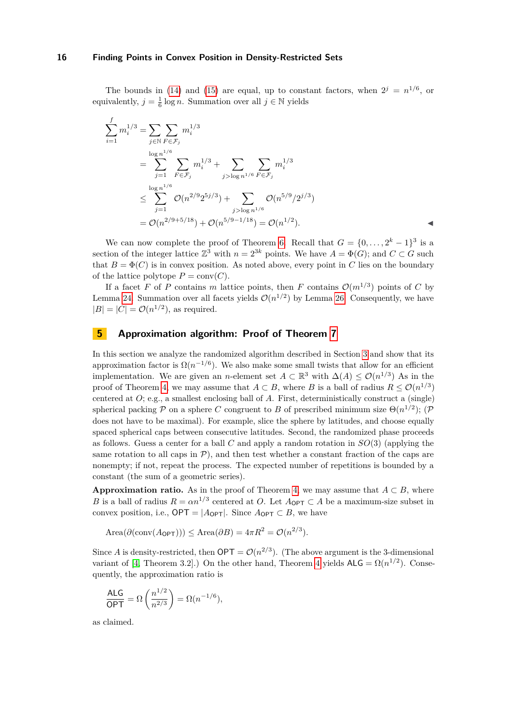The bounds in [\(14\)](#page-14-0) and [\(15\)](#page-14-1) are equal, up to constant factors, when  $2^{j} = n^{1/6}$ , or equivalently,  $j = \frac{1}{6} \log n$ . Summation over all  $j \in \mathbb{N}$  yields

$$
\sum_{i=1}^{f} m_i^{1/3} = \sum_{j \in \mathbb{N}} \sum_{F \in \mathcal{F}_j} m_i^{1/3}
$$
  
= 
$$
\sum_{j=1}^{\log n^{1/6}} \sum_{F \in \mathcal{F}_j} m_i^{1/3} + \sum_{j > \log n^{1/6}} \sum_{F \in \mathcal{F}_j} m_i^{1/3}
$$
  

$$
\leq \sum_{j=1}^{\log n^{1/6}} \mathcal{O}(n^{2/9} 2^{5j/3}) + \sum_{j > \log n^{1/6}} \mathcal{O}(n^{5/9} 2^{j/3})
$$
  
= 
$$
\mathcal{O}(n^{2/9+5/18}) + \mathcal{O}(n^{5/9-1/18}) = \mathcal{O}(n^{1/2}).
$$

We can now complete the proof of Theorem [6.](#page-2-1) Recall that  $G = \{0, \ldots, 2^k - 1\}^3$  is a section of the integer lattice  $\mathbb{Z}^3$  with  $n = 2^{3k}$  points. We have  $A = \Phi(G)$ ; and  $C \subset G$  such that  $B = \Phi(C)$  is in convex position. As noted above, every point in *C* lies on the boundary of the lattice polytope  $P = \text{conv}(C)$ .

If a facet *F* of *P* contains *m* lattice points, then *F* contains  $\mathcal{O}(m^{1/3})$  points of *C* by Lemma [24.](#page-12-0) Summation over all facets yields  $\mathcal{O}(n^{1/2})$  by Lemma [26.](#page-14-2) Consequently, we have  $|B| = |C| = \mathcal{O}(n^{1/2})$ , as required.

# **5 Approximation algorithm: Proof of Theorem [7](#page-2-2)**

In this section we analyze the randomized algorithm described in Section [3](#page-4-2) and show that its approximation factor is  $\Omega(n^{-1/6})$ . We also make some small twists that allow for an efficient implementation. We are given an *n*-element set  $A \subset \mathbb{R}^3$  with  $\Delta(A) \leq \mathcal{O}(n^{1/3})$  As in the proof of Theorem [4,](#page-1-2) we may assume that  $A \subset B$ , where *B* is a ball of radius  $R \leq \mathcal{O}(n^{1/3})$ centered at *O*; e.g., a smallest enclosing ball of *A*. First, deterministically construct a (single) spherical packing  $P$  on a sphere *C* congruent to *B* of prescribed minimum size  $\Theta(n^{1/2})$ ; (P does not have to be maximal). For example, slice the sphere by latitudes, and choose equally spaced spherical caps between consecutive latitudes. Second, the randomized phase proceeds as follows. Guess a center for a ball *C* and apply a random rotation in *SO*(3) (applying the same rotation to all caps in  $P$ ), and then test whether a constant fraction of the caps are nonempty; if not, repeat the process. The expected number of repetitions is bounded by a constant (the sum of a geometric series).

**Approximation ratio.** As in the proof of Theorem [4,](#page-1-2) we may assume that  $A \subset B$ , where *B* is a ball of radius  $R = \alpha n^{1/3}$  centered at *O*. Let  $A_{\text{OPT}} \subset A$  be a maximum-size subset in convex position, i.e.,  $\mathsf{OPT} = |A_{\mathsf{OPT}}|$ . Since  $A_{\mathsf{OPT}} \subset B$ , we have

 $Area(\partial(conv(A_{\mathsf{OPT}}))) \leq Area(\partial B) = 4\pi R^2 = \mathcal{O}(n^{2/3}).$ 

Since *A* is density-restricted, then  $\mathsf{OPT} = \mathcal{O}(n^{2/3})$ . (The above argument is the 3-dimensional variant of [\[4,](#page-17-15) Theorem 3.2].) On the other hand, Theorem [4](#page-1-2) yields  $ALG = \Omega(n^{1/2})$ . Consequently, the approximation ratio is

$$
\frac{\mathsf{ALG}}{\mathsf{OPT}} = \Omega\left(\frac{n^{1/2}}{n^{2/3}}\right) = \Omega(n^{-1/6}),
$$

as claimed.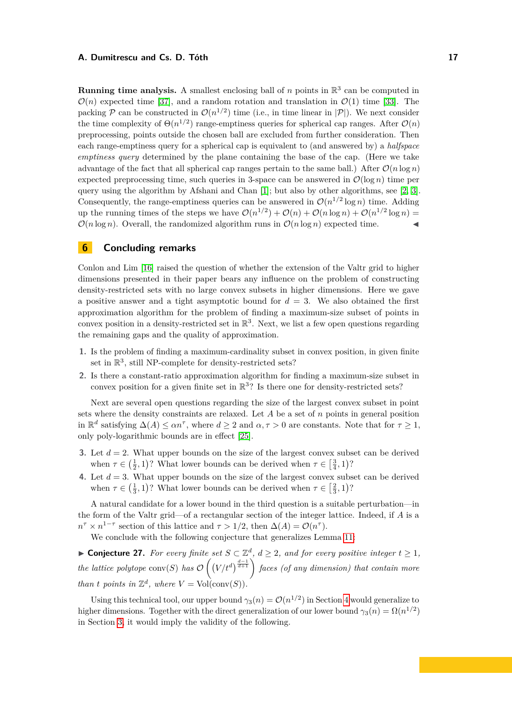**Running time analysis.** A smallest enclosing ball of *n* points in  $\mathbb{R}^3$  can be computed in  $\mathcal{O}(n)$  expected time [\[37\]](#page-18-17), and a random rotation and translation in  $\mathcal{O}(1)$  time [\[33\]](#page-18-18). The packing  $P$  can be constructed in  $\mathcal{O}(n^{1/2})$  time (i.e., in time linear in  $|\mathcal{P}|$ ). We next consider the time complexity of  $\Theta(n^{1/2})$  range-emptiness queries for spherical cap ranges. After  $\mathcal{O}(n)$ preprocessing, points outside the chosen ball are excluded from further consideration. Then each range-emptiness query for a spherical cap is equivalent to (and answered by) a *halfspace emptiness query* determined by the plane containing the base of the cap. (Here we take advantage of the fact that all spherical cap ranges pertain to the same ball.) After  $\mathcal{O}(n \log n)$ expected preprocessing time, such queries in 3-space can be answered in  $\mathcal{O}(\log n)$  time per query using the algorithm by Afshani and Chan  $[1]$ ; but also by other algorithms, see  $[2, 3]$  $[2, 3]$  $[2, 3]$ . Consequently, the range-emptiness queries can be answered in  $\mathcal{O}(n^{1/2} \log n)$  time. Adding up the running times of the steps we have  $\mathcal{O}(n^{1/2}) + \mathcal{O}(n) + \mathcal{O}(n \log n) + \mathcal{O}(n^{1/2} \log n) =$  $\mathcal{O}(n \log n)$ . Overall, the randomized algorithm runs in  $\mathcal{O}(n \log n)$  expected time.

# <span id="page-16-0"></span>**6 Concluding remarks**

Conlon and Lim [\[16\]](#page-17-2) raised the question of whether the extension of the Valtr grid to higher dimensions presented in their paper bears any influence on the problem of constructing density-restricted sets with no large convex subsets in higher dimensions. Here we gave a positive answer and a tight asymptotic bound for  $d = 3$ . We also obtained the first approximation algorithm for the problem of finding a maximum-size subset of points in convex position in a density-restricted set in  $\mathbb{R}^3$ . Next, we list a few open questions regarding the remaining gaps and the quality of approximation.

- **1.** Is the problem of finding a maximum-cardinality subset in convex position, in given finite set in  $\mathbb{R}^3$ , still NP-complete for density-restricted sets?
- **2.** Is there a constant-ratio approximation algorithm for finding a maximum-size subset in convex position for a given finite set in  $\mathbb{R}^3$ ? Is there one for density-restricted sets?

Next are several open questions regarding the size of the largest convex subset in point sets where the density constraints are relaxed. Let *A* be a set of *n* points in general position in  $\mathbb{R}^d$  satisfying  $\Delta(A) \leq \alpha n^{\tau}$ , where  $d \geq 2$  and  $\alpha, \tau > 0$  are constants. Note that for  $\tau \geq 1$ , only poly-logarithmic bounds are in effect [\[25\]](#page-18-15).

- **3.** Let *d* = 2. What upper bounds on the size of the largest convex subset can be derived when  $\tau \in \left(\frac{1}{2}, 1\right)$ ? What lower bounds can be derived when  $\tau \in \left[\frac{3}{4}, 1\right)$ ?
- **4.** Let  $d = 3$ . What upper bounds on the size of the largest convex subset can be derived when  $\tau \in \left(\frac{1}{3}, 1\right)$ ? What lower bounds can be derived when  $\tau \in \left[\frac{2}{3}, 1\right)$ ?

A natural candidate for a lower bound in the third question is a suitable perturbation—in the form of the Valtr grid—of a rectangular section of the integer lattice. Indeed, if *A* is a  $n^{\tau} \times n^{1-\tau}$  section of this lattice and  $\tau > 1/2$ , then  $\Delta(A) = \mathcal{O}(n^{\tau})$ .

We conclude with the following conjecture that generalizes Lemma [11:](#page-4-1)

► **Conjecture 27.** For every finite set  $S \subset \mathbb{Z}^d$ ,  $d \geq 2$ , and for every positive integer  $t \geq 1$ , *the lattice polytope* conv(*S*) has  $\mathcal{O}\left(\frac{V}{t^d}\right)^{\frac{d-1}{d+1}}$  *faces (of any dimension) that contain more than t points* in  $\mathbb{Z}^d$ *, where*  $V = \text{Vol}(\text{conv}(S))$ *.* 

Using this technical tool, our upper bound  $\gamma_3(n) = \mathcal{O}(n^{1/2})$  in Section [4](#page-8-0) would generalize to higher dimensions. Together with the direct generalization of our lower bound  $\gamma_3(n) = \Omega(n^{1/2})$ in Section [3,](#page-4-2) it would imply the validity of the following.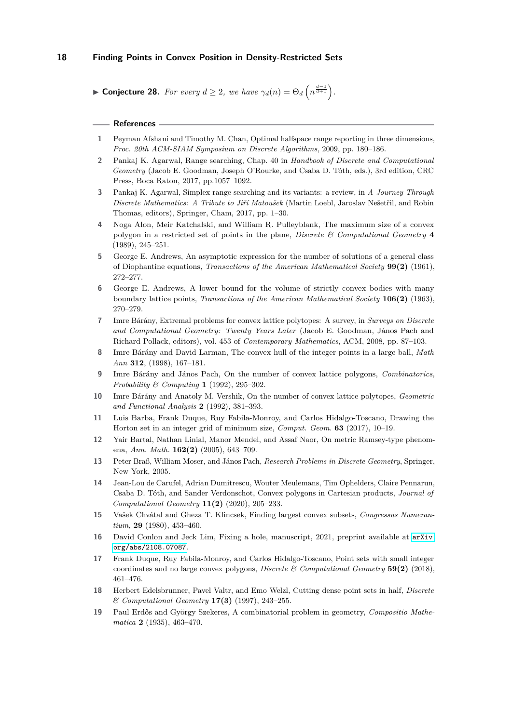► **Conjecture 28.** *For every*  $d \geq 2$ *, we have*  $\gamma_d(n) = \Theta_d\left(n^{\frac{d-1}{d+1}}\right)$ *.* 

<span id="page-17-18"></span><span id="page-17-17"></span><span id="page-17-16"></span><span id="page-17-15"></span>

|                | References -                                                                                                                                                                                                                                                                         |
|----------------|--------------------------------------------------------------------------------------------------------------------------------------------------------------------------------------------------------------------------------------------------------------------------------------|
| $\mathbf{1}$   | Peyman Afshani and Timothy M. Chan, Optimal halfspace range reporting in three dimensions,<br>Proc. 20th ACM-SIAM Symposium on Discrete Algorithms, 2009, pp. 180–186.                                                                                                               |
| $\overline{2}$ | Pankaj K. Agarwal, Range searching, Chap. 40 in Handbook of Discrete and Computational<br>Geometry (Jacob E. Goodman, Joseph O'Rourke, and Csaba D. Tóth, eds.), 3rd edition, CRC<br>Press, Boca Raton, 2017, pp.1057-1092.                                                          |
| 3              | Pankaj K. Agarwal, Simplex range searching and its variants: a review, in A Journey Through<br>Discrete Mathematics: A Tribute to Jiří Matoušek (Martin Loebl, Jaroslav Nešetřil, and Robin<br>Thomas, editors), Springer, Cham, 2017, pp. 1–30.                                     |
| 4              | Noga Alon, Meir Katchalski, and William R. Pulleyblank, The maximum size of a convex<br>polygon in a restricted set of points in the plane, <i>Discrete</i> & Computational Geometry 4<br>$(1989), 245-251.$                                                                         |
| 5              | George E. Andrews, An asymptotic expression for the number of solutions of a general class<br>of Diophantine equations, Transactions of the American Mathematical Society 99(2) (1961),<br>$272 - 277.$                                                                              |
| 6              | George E. Andrews, A lower bound for the volume of strictly convex bodies with many<br>boundary lattice points, <i>Transactions of the American Mathematical Society</i> $106(2)$ (1963),<br>$270 - 279.$                                                                            |
| $\overline{7}$ | Imre Bárány, Extremal problems for convex lattice polytopes: A survey, in Surveys on Discrete<br>and Computational Geometry: Twenty Years Later (Jacob E. Goodman, János Pach and<br>Richard Pollack, editors), vol. 453 of <i>Contemporary Mathematics</i> , ACM, 2008, pp. 87–103. |
| я.             | Imro Bárány and David Larman. The convoy bull of the integer points in a large ball Math                                                                                                                                                                                             |

- <span id="page-17-14"></span><span id="page-17-13"></span><span id="page-17-12"></span><span id="page-17-9"></span>**8** Imre Bárány and David Larman, The convex hull of the integer points in a large ball, *Math Ann* **312**, (1998), 167–181.
- <span id="page-17-10"></span>**9** Imre Bárány and János Pach, On the number of convex lattice polygons, *Combinatorics, Probability & Computing* **1** (1992), 295–302.
- <span id="page-17-11"></span>**10** Imre Bárány and Anatoly M. Vershik, On the number of convex lattice polytopes, *Geometric and Functional Analysis* **2** (1992), 381–393.
- <span id="page-17-5"></span>**11** Luis Barba, Frank Duque, Ruy Fabila-Monroy, and Carlos Hidalgo-Toscano, Drawing the Horton set in an integer grid of minimum size, *Comput. Geom.* **63** (2017), 10–19.
- <span id="page-17-1"></span>**12** Yair Bartal, Nathan Linial, Manor Mendel, and Assaf Naor, On metric Ramsey-type phenomena, *Ann. Math.* **162(2)** (2005), 643–709.
- <span id="page-17-8"></span>**13** Peter Braß, William Moser, and János Pach, *Research Problems in Discrete Geometry*, Springer, New York, 2005.
- <span id="page-17-7"></span>**14** Jean-Lou de Carufel, Adrian Dumitrescu, Wouter Meulemans, Tim Ophelders, Claire Pennarun, Csaba D. Tóth, and Sander Verdonschot, Convex polygons in Cartesian products, *Journal of Computational Geometry* **11(2)** (2020), 205–233.
- <span id="page-17-6"></span>**15** Vašek Chvátal and Gheza T. Klincsek, Finding largest convex subsets, *Congressus Numerantium*, **29** (1980), 453–460.
- <span id="page-17-2"></span>16 David Conlon and Jeck Lim, Fixing a hole, manuscript, 2021, preprint available at  $arXiv$ . [org/abs/2108.07087](arXiv.org/abs/2108.07087).
- <span id="page-17-4"></span>**17** Frank Duque, Ruy Fabila-Monroy, and Carlos Hidalgo-Toscano, Point sets with small integer coordinates and no large convex polygons, *Discrete & Computational Geometry* **59(2)** (2018), 461–476.
- <span id="page-17-3"></span>**18** Herbert Edelsbrunner, Pavel Valtr, and Emo Welzl, Cutting dense point sets in half, *Discrete & Computational Geometry* **17(3)** (1997), 243–255.
- <span id="page-17-0"></span>**19** Paul Erdős and György Szekeres, A combinatorial problem in geometry, *Compositio Mathematica* **2** (1935), 463–470.